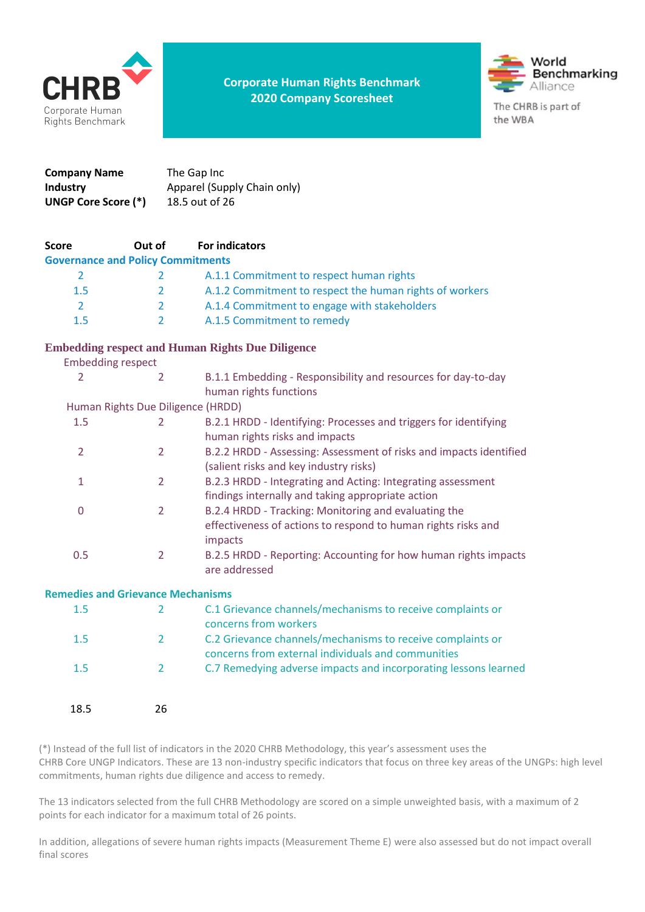

**Corporate Human Rights Benchmark 2020 Company Scoresheet**



| Company Name        | The Gap Inc                 |
|---------------------|-----------------------------|
| <b>Industry</b>     | Apparel (Supply Chain only) |
| UNGP Core Score (*) | 18.5 out of 26              |

| <b>Score</b>                             | Out of                            | <b>For indicators</b>                                              |
|------------------------------------------|-----------------------------------|--------------------------------------------------------------------|
| <b>Governance and Policy Commitments</b> |                                   |                                                                    |
| 2                                        | 2                                 | A.1.1 Commitment to respect human rights                           |
| 1.5                                      | 2                                 | A.1.2 Commitment to respect the human rights of workers            |
| 2                                        | 2                                 | A.1.4 Commitment to engage with stakeholders                       |
| 1.5                                      | 2                                 | A.1.5 Commitment to remedy                                         |
|                                          |                                   | <b>Embedding respect and Human Rights Due Diligence</b>            |
| <b>Embedding respect</b>                 |                                   |                                                                    |
| 2                                        | 2                                 | B.1.1 Embedding - Responsibility and resources for day-to-day      |
|                                          |                                   | human rights functions                                             |
|                                          | Human Rights Due Diligence (HRDD) |                                                                    |
| 1.5                                      | 2                                 | B.2.1 HRDD - Identifying: Processes and triggers for identifying   |
|                                          |                                   | human rights risks and impacts                                     |
| 2                                        | $\overline{2}$                    | B.2.2 HRDD - Assessing: Assessment of risks and impacts identified |
|                                          |                                   | (salient risks and key industry risks)                             |
| 1                                        | 2                                 | B.2.3 HRDD - Integrating and Acting: Integrating assessment        |
|                                          |                                   | findings internally and taking appropriate action                  |
| 0                                        | 2                                 | B.2.4 HRDD - Tracking: Monitoring and evaluating the               |

|     | effectiveness of actions to respond to human rights risks and |  |                                                                 |
|-----|---------------------------------------------------------------|--|-----------------------------------------------------------------|
|     | impacts                                                       |  |                                                                 |
| 0.5 |                                                               |  | B.2.5 HRDD - Reporting: Accounting for how human rights impacts |

are addressed

#### **Remedies and Grievance Mechanisms**

| 1.5  |    | C.1 Grievance channels/mechanisms to receive complaints or<br>concerns from workers                              |
|------|----|------------------------------------------------------------------------------------------------------------------|
| 1.5  |    | C.2 Grievance channels/mechanisms to receive complaints or<br>concerns from external individuals and communities |
| 1.5  |    | C.7 Remedying adverse impacts and incorporating lessons learned                                                  |
| 18.5 | 26 |                                                                                                                  |

(\*) Instead of the full list of indicators in the 2020 CHRB Methodology, this year's assessment uses the CHRB Core UNGP Indicators. These are 13 non-industry specific indicators that focus on three key areas of the UNGPs: high level commitments, human rights due diligence and access to remedy.

The 13 indicators selected from the full CHRB Methodology are scored on a simple unweighted basis, with a maximum of 2 points for each indicator for a maximum total of 26 points.

In addition, allegations of severe human rights impacts (Measurement Theme E) were also assessed but do not impact overall final scores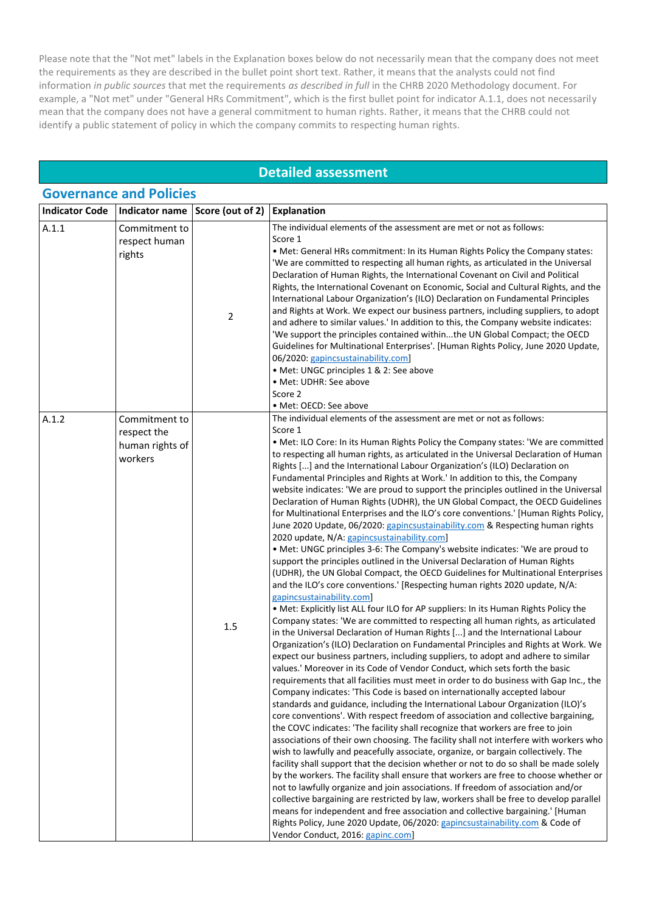Please note that the "Not met" labels in the Explanation boxes below do not necessarily mean that the company does not meet the requirements as they are described in the bullet point short text. Rather, it means that the analysts could not find information *in public sources* that met the requirements *as described in full* in the CHRB 2020 Methodology document. For example, a "Not met" under "General HRs Commitment", which is the first bullet point for indicator A.1.1, does not necessarily mean that the company does not have a general commitment to human rights. Rather, it means that the CHRB could not identify a public statement of policy in which the company commits to respecting human rights.

### **Detailed assessment**

|                       | <b>Governance and Policies</b>                             |                  |                                                                                                                                                                                                                                                                                                                                                                                                                                                                                                                                                                                                                                                                                                                                                                                                                                                                                                                                                                                                                                                                                                                                                                                                                                                                                                                                                                                                                                                                                                                                                                                                                                                                                                                                                                                                                                                                                                                                                                                                                                                                                                                                                                                                                                                                                                                                                                                                                                                                                                                                                                                                                                                                                                                                                                                                                                                                                                        |  |
|-----------------------|------------------------------------------------------------|------------------|--------------------------------------------------------------------------------------------------------------------------------------------------------------------------------------------------------------------------------------------------------------------------------------------------------------------------------------------------------------------------------------------------------------------------------------------------------------------------------------------------------------------------------------------------------------------------------------------------------------------------------------------------------------------------------------------------------------------------------------------------------------------------------------------------------------------------------------------------------------------------------------------------------------------------------------------------------------------------------------------------------------------------------------------------------------------------------------------------------------------------------------------------------------------------------------------------------------------------------------------------------------------------------------------------------------------------------------------------------------------------------------------------------------------------------------------------------------------------------------------------------------------------------------------------------------------------------------------------------------------------------------------------------------------------------------------------------------------------------------------------------------------------------------------------------------------------------------------------------------------------------------------------------------------------------------------------------------------------------------------------------------------------------------------------------------------------------------------------------------------------------------------------------------------------------------------------------------------------------------------------------------------------------------------------------------------------------------------------------------------------------------------------------------------------------------------------------------------------------------------------------------------------------------------------------------------------------------------------------------------------------------------------------------------------------------------------------------------------------------------------------------------------------------------------------------------------------------------------------------------------------------------------------|--|
| <b>Indicator Code</b> | Indicator name                                             | Score (out of 2) | <b>Explanation</b>                                                                                                                                                                                                                                                                                                                                                                                                                                                                                                                                                                                                                                                                                                                                                                                                                                                                                                                                                                                                                                                                                                                                                                                                                                                                                                                                                                                                                                                                                                                                                                                                                                                                                                                                                                                                                                                                                                                                                                                                                                                                                                                                                                                                                                                                                                                                                                                                                                                                                                                                                                                                                                                                                                                                                                                                                                                                                     |  |
| A.1.1                 | Commitment to<br>respect human<br>rights                   | $\overline{2}$   | The individual elements of the assessment are met or not as follows:<br>Score 1<br>. Met: General HRs commitment: In its Human Rights Policy the Company states:<br>'We are committed to respecting all human rights, as articulated in the Universal<br>Declaration of Human Rights, the International Covenant on Civil and Political<br>Rights, the International Covenant on Economic, Social and Cultural Rights, and the<br>International Labour Organization's (ILO) Declaration on Fundamental Principles<br>and Rights at Work. We expect our business partners, including suppliers, to adopt<br>and adhere to similar values.' In addition to this, the Company website indicates:<br>'We support the principles contained withinthe UN Global Compact; the OECD<br>Guidelines for Multinational Enterprises'. [Human Rights Policy, June 2020 Update,<br>06/2020: gapincsustainability.com]<br>• Met: UNGC principles 1 & 2: See above<br>• Met: UDHR: See above<br>Score 2<br>· Met: OECD: See above                                                                                                                                                                                                                                                                                                                                                                                                                                                                                                                                                                                                                                                                                                                                                                                                                                                                                                                                                                                                                                                                                                                                                                                                                                                                                                                                                                                                                                                                                                                                                                                                                                                                                                                                                                                                                                                                                      |  |
| A.1.2                 | Commitment to<br>respect the<br>human rights of<br>workers | 1.5              | The individual elements of the assessment are met or not as follows:<br>Score 1<br>. Met: ILO Core: In its Human Rights Policy the Company states: 'We are committed<br>to respecting all human rights, as articulated in the Universal Declaration of Human<br>Rights [] and the International Labour Organization's (ILO) Declaration on<br>Fundamental Principles and Rights at Work.' In addition to this, the Company<br>website indicates: 'We are proud to support the principles outlined in the Universal<br>Declaration of Human Rights (UDHR), the UN Global Compact, the OECD Guidelines<br>for Multinational Enterprises and the ILO's core conventions.' [Human Rights Policy,<br>June 2020 Update, 06/2020: gapincsustainability.com & Respecting human rights<br>2020 update, N/A: gapincsustainability.com]<br>• Met: UNGC principles 3-6: The Company's website indicates: 'We are proud to<br>support the principles outlined in the Universal Declaration of Human Rights<br>(UDHR), the UN Global Compact, the OECD Guidelines for Multinational Enterprises<br>and the ILO's core conventions.' [Respecting human rights 2020 update, N/A:<br>gapincsustainability.com]<br>. Met: Explicitly list ALL four ILO for AP suppliers: In its Human Rights Policy the<br>Company states: 'We are committed to respecting all human rights, as articulated<br>in the Universal Declaration of Human Rights [] and the International Labour<br>Organization's (ILO) Declaration on Fundamental Principles and Rights at Work. We<br>expect our business partners, including suppliers, to adopt and adhere to similar<br>values.' Moreover in its Code of Vendor Conduct, which sets forth the basic<br>requirements that all facilities must meet in order to do business with Gap Inc., the<br>Company indicates: 'This Code is based on internationally accepted labour<br>standards and guidance, including the International Labour Organization (ILO)'s<br>core conventions'. With respect freedom of association and collective bargaining,<br>the COVC indicates: 'The facility shall recognize that workers are free to join<br>associations of their own choosing. The facility shall not interfere with workers who<br>wish to lawfully and peacefully associate, organize, or bargain collectively. The<br>facility shall support that the decision whether or not to do so shall be made solely<br>by the workers. The facility shall ensure that workers are free to choose whether or<br>not to lawfully organize and join associations. If freedom of association and/or<br>collective bargaining are restricted by law, workers shall be free to develop parallel<br>means for independent and free association and collective bargaining.' [Human<br>Rights Policy, June 2020 Update, 06/2020: gapincsustainability.com & Code of<br>Vendor Conduct, 2016: gapinc.com] |  |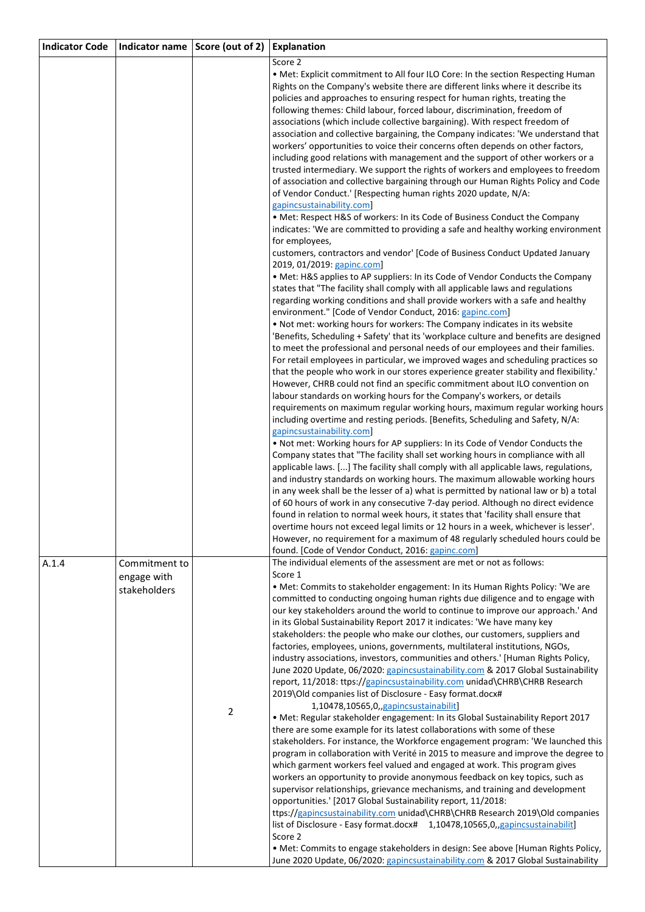| <b>Indicator Code</b> | Indicator name Score (out of 2)              |                | <b>Explanation</b>                                                                                                                                                                                                                                                                                                                                                                                                                                                                                                                                                                                                                                                                                                                                                                                                                                                                                                                                                                                                                                                                                                                                                                                                                                                                                                                                                                                                                                                                                                                                                                                                                                                                                                                                                                                                                                                                                                                              |
|-----------------------|----------------------------------------------|----------------|-------------------------------------------------------------------------------------------------------------------------------------------------------------------------------------------------------------------------------------------------------------------------------------------------------------------------------------------------------------------------------------------------------------------------------------------------------------------------------------------------------------------------------------------------------------------------------------------------------------------------------------------------------------------------------------------------------------------------------------------------------------------------------------------------------------------------------------------------------------------------------------------------------------------------------------------------------------------------------------------------------------------------------------------------------------------------------------------------------------------------------------------------------------------------------------------------------------------------------------------------------------------------------------------------------------------------------------------------------------------------------------------------------------------------------------------------------------------------------------------------------------------------------------------------------------------------------------------------------------------------------------------------------------------------------------------------------------------------------------------------------------------------------------------------------------------------------------------------------------------------------------------------------------------------------------------------|
|                       |                                              |                | Score 2<br>. Met: Explicit commitment to All four ILO Core: In the section Respecting Human<br>Rights on the Company's website there are different links where it describe its<br>policies and approaches to ensuring respect for human rights, treating the<br>following themes: Child labour, forced labour, discrimination, freedom of<br>associations (which include collective bargaining). With respect freedom of<br>association and collective bargaining, the Company indicates: 'We understand that<br>workers' opportunities to voice their concerns often depends on other factors,<br>including good relations with management and the support of other workers or a<br>trusted intermediary. We support the rights of workers and employees to freedom<br>of association and collective bargaining through our Human Rights Policy and Code<br>of Vendor Conduct.' [Respecting human rights 2020 update, N/A:<br>gapincsustainability.com]<br>• Met: Respect H&S of workers: In its Code of Business Conduct the Company<br>indicates: 'We are committed to providing a safe and healthy working environment<br>for employees,<br>customers, contractors and vendor' [Code of Business Conduct Updated January<br>2019, 01/2019: gapinc.com]<br>• Met: H&S applies to AP suppliers: In its Code of Vendor Conducts the Company                                                                                                                                                                                                                                                                                                                                                                                                                                                                                                                                                                                                    |
|                       |                                              |                | states that "The facility shall comply with all applicable laws and regulations<br>regarding working conditions and shall provide workers with a safe and healthy<br>environment." [Code of Vendor Conduct, 2016: gapinc.com]<br>. Not met: working hours for workers: The Company indicates in its website<br>'Benefits, Scheduling + Safety' that its 'workplace culture and benefits are designed<br>to meet the professional and personal needs of our employees and their families.<br>For retail employees in particular, we improved wages and scheduling practices so<br>that the people who work in our stores experience greater stability and flexibility.'<br>However, CHRB could not find an specific commitment about ILO convention on<br>labour standards on working hours for the Company's workers, or details<br>requirements on maximum regular working hours, maximum regular working hours<br>including overtime and resting periods. [Benefits, Scheduling and Safety, N/A:<br>gapincsustainability.com]<br>. Not met: Working hours for AP suppliers: In its Code of Vendor Conducts the<br>Company states that "The facility shall set working hours in compliance with all<br>applicable laws. [] The facility shall comply with all applicable laws, regulations,<br>and industry standards on working hours. The maximum allowable working hours<br>in any week shall be the lesser of a) what is permitted by national law or b) a total<br>of 60 hours of work in any consecutive 7-day period. Although no direct evidence<br>found in relation to normal week hours, it states that 'facility shall ensure that<br>overtime hours not exceed legal limits or 12 hours in a week, whichever is lesser'.<br>However, no requirement for a maximum of 48 regularly scheduled hours could be<br>found. [Code of Vendor Conduct, 2016: gapinc.com]                                                                   |
| A.1.4                 | Commitment to<br>engage with<br>stakeholders | $\overline{2}$ | The individual elements of the assessment are met or not as follows:<br>Score 1<br>. Met: Commits to stakeholder engagement: In its Human Rights Policy: 'We are<br>committed to conducting ongoing human rights due diligence and to engage with<br>our key stakeholders around the world to continue to improve our approach.' And<br>in its Global Sustainability Report 2017 it indicates: 'We have many key<br>stakeholders: the people who make our clothes, our customers, suppliers and<br>factories, employees, unions, governments, multilateral institutions, NGOs,<br>industry associations, investors, communities and others.' [Human Rights Policy,<br>June 2020 Update, 06/2020: gapincsustainability.com & 2017 Global Sustainability<br>report, 11/2018: ttps://gapincsustainability.com unidad\CHRB\CHRB Research<br>2019\Old companies list of Disclosure - Easy format.docx#<br>1,10478,10565,0,,gapincsustainabilit]<br>• Met: Regular stakeholder engagement: In its Global Sustainability Report 2017<br>there are some example for its latest collaborations with some of these<br>stakeholders. For instance, the Workforce engagement program: 'We launched this<br>program in collaboration with Verité in 2015 to measure and improve the degree to<br>which garment workers feel valued and engaged at work. This program gives<br>workers an opportunity to provide anonymous feedback on key topics, such as<br>supervisor relationships, grievance mechanisms, and training and development<br>opportunities.' [2017 Global Sustainability report, 11/2018:<br>ttps://gapincsustainability.com unidad\CHRB\CHRB Research 2019\Old companies<br>list of Disclosure - Easy format.docx# 1,10478,10565,0,,gapincsustainabilit]<br>Score 2<br>• Met: Commits to engage stakeholders in design: See above [Human Rights Policy,<br>June 2020 Update, 06/2020: gapincsustainability.com & 2017 Global Sustainability |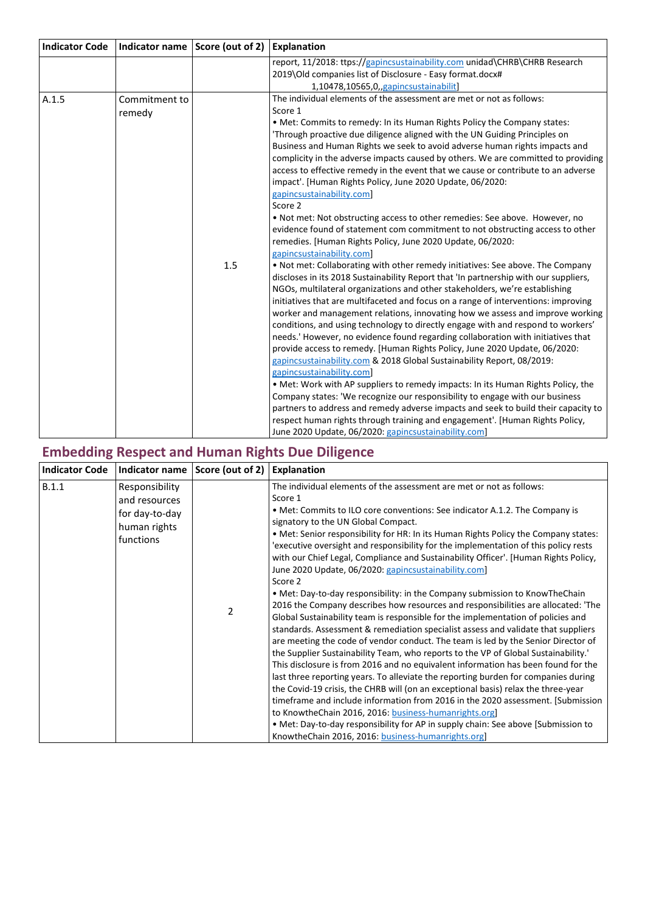| <b>Indicator Code</b> |                         | Indicator name Score (out of 2) | <b>Explanation</b>                                                                                                                                                                                                                                                                                                                                                                                                                                                                                                                                                                                                                                                                                                                                                                                                                                                                                                                                                                                                                                                                                                                                                                                                                                                                                                                                                                                                                                                                                                                                                                                                                                                                                                                                                                                                                                                                                                                                                                                                                                                |
|-----------------------|-------------------------|---------------------------------|-------------------------------------------------------------------------------------------------------------------------------------------------------------------------------------------------------------------------------------------------------------------------------------------------------------------------------------------------------------------------------------------------------------------------------------------------------------------------------------------------------------------------------------------------------------------------------------------------------------------------------------------------------------------------------------------------------------------------------------------------------------------------------------------------------------------------------------------------------------------------------------------------------------------------------------------------------------------------------------------------------------------------------------------------------------------------------------------------------------------------------------------------------------------------------------------------------------------------------------------------------------------------------------------------------------------------------------------------------------------------------------------------------------------------------------------------------------------------------------------------------------------------------------------------------------------------------------------------------------------------------------------------------------------------------------------------------------------------------------------------------------------------------------------------------------------------------------------------------------------------------------------------------------------------------------------------------------------------------------------------------------------------------------------------------------------|
|                       |                         |                                 | report, 11/2018: ttps://gapincsustainability.com unidad\CHRB\CHRB Research<br>2019\Old companies list of Disclosure - Easy format.docx#<br>1,10478,10565,0,,gapincsustainabilit]                                                                                                                                                                                                                                                                                                                                                                                                                                                                                                                                                                                                                                                                                                                                                                                                                                                                                                                                                                                                                                                                                                                                                                                                                                                                                                                                                                                                                                                                                                                                                                                                                                                                                                                                                                                                                                                                                  |
| A.1.5                 | Commitment to<br>remedy | 1.5                             | The individual elements of the assessment are met or not as follows:<br>Score 1<br>. Met: Commits to remedy: In its Human Rights Policy the Company states:<br>'Through proactive due diligence aligned with the UN Guiding Principles on<br>Business and Human Rights we seek to avoid adverse human rights impacts and<br>complicity in the adverse impacts caused by others. We are committed to providing<br>access to effective remedy in the event that we cause or contribute to an adverse<br>impact'. [Human Rights Policy, June 2020 Update, 06/2020:<br>gapincsustainability.com]<br>Score 2<br>. Not met: Not obstructing access to other remedies: See above. However, no<br>evidence found of statement com commitment to not obstructing access to other<br>remedies. [Human Rights Policy, June 2020 Update, 06/2020:<br>gapincsustainability.com]<br>. Not met: Collaborating with other remedy initiatives: See above. The Company<br>discloses in its 2018 Sustainability Report that 'In partnership with our suppliers,<br>NGOs, multilateral organizations and other stakeholders, we're establishing<br>initiatives that are multifaceted and focus on a range of interventions: improving<br>worker and management relations, innovating how we assess and improve working<br>conditions, and using technology to directly engage with and respond to workers'<br>needs.' However, no evidence found regarding collaboration with initiatives that<br>provide access to remedy. [Human Rights Policy, June 2020 Update, 06/2020:<br>gapincsustainability.com & 2018 Global Sustainability Report, 08/2019:<br>gapincsustainability.com]<br>• Met: Work with AP suppliers to remedy impacts: In its Human Rights Policy, the<br>Company states: 'We recognize our responsibility to engage with our business<br>partners to address and remedy adverse impacts and seek to build their capacity to<br>respect human rights through training and engagement'. [Human Rights Policy,<br>June 2020 Update, 06/2020: gapincsustainability.com] |

# **Embedding Respect and Human Rights Due Diligence**

| <b>Indicator Code</b> | Indicator name                                                                 | Score (out of 2) | Explanation                                                                                                                                                                                                                                                                                                                                                                                                                                                                                                                                                                                                                                                                                                                                                                                                                                                                                                                                                                                                                                                                                                                                                                                                                                                                                                                                                                                                                                                                                                                                                                                                                   |
|-----------------------|--------------------------------------------------------------------------------|------------------|-------------------------------------------------------------------------------------------------------------------------------------------------------------------------------------------------------------------------------------------------------------------------------------------------------------------------------------------------------------------------------------------------------------------------------------------------------------------------------------------------------------------------------------------------------------------------------------------------------------------------------------------------------------------------------------------------------------------------------------------------------------------------------------------------------------------------------------------------------------------------------------------------------------------------------------------------------------------------------------------------------------------------------------------------------------------------------------------------------------------------------------------------------------------------------------------------------------------------------------------------------------------------------------------------------------------------------------------------------------------------------------------------------------------------------------------------------------------------------------------------------------------------------------------------------------------------------------------------------------------------------|
| B.1.1                 | Responsibility<br>and resources<br>for day-to-day<br>human rights<br>functions | 2                | The individual elements of the assessment are met or not as follows:<br>Score 1<br>• Met: Commits to ILO core conventions: See indicator A.1.2. The Company is<br>signatory to the UN Global Compact.<br>• Met: Senior responsibility for HR: In its Human Rights Policy the Company states:<br>'executive oversight and responsibility for the implementation of this policy rests<br>with our Chief Legal, Compliance and Sustainability Officer'. [Human Rights Policy,<br>June 2020 Update, 06/2020: gapincsustainability.com]<br>Score 2<br>• Met: Day-to-day responsibility: in the Company submission to Know The Chain<br>2016 the Company describes how resources and responsibilities are allocated: 'The<br>Global Sustainability team is responsible for the implementation of policies and<br>standards. Assessment & remediation specialist assess and validate that suppliers<br>are meeting the code of vendor conduct. The team is led by the Senior Director of<br>the Supplier Sustainability Team, who reports to the VP of Global Sustainability.<br>This disclosure is from 2016 and no equivalent information has been found for the<br>last three reporting years. To alleviate the reporting burden for companies during<br>the Covid-19 crisis, the CHRB will (on an exceptional basis) relax the three-year<br>timeframe and include information from 2016 in the 2020 assessment. [Submission]<br>to KnowtheChain 2016, 2016: business-humanrights.org<br>• Met: Day-to-day responsibility for AP in supply chain: See above [Submission to<br>KnowtheChain 2016, 2016: business-humanrights.org] |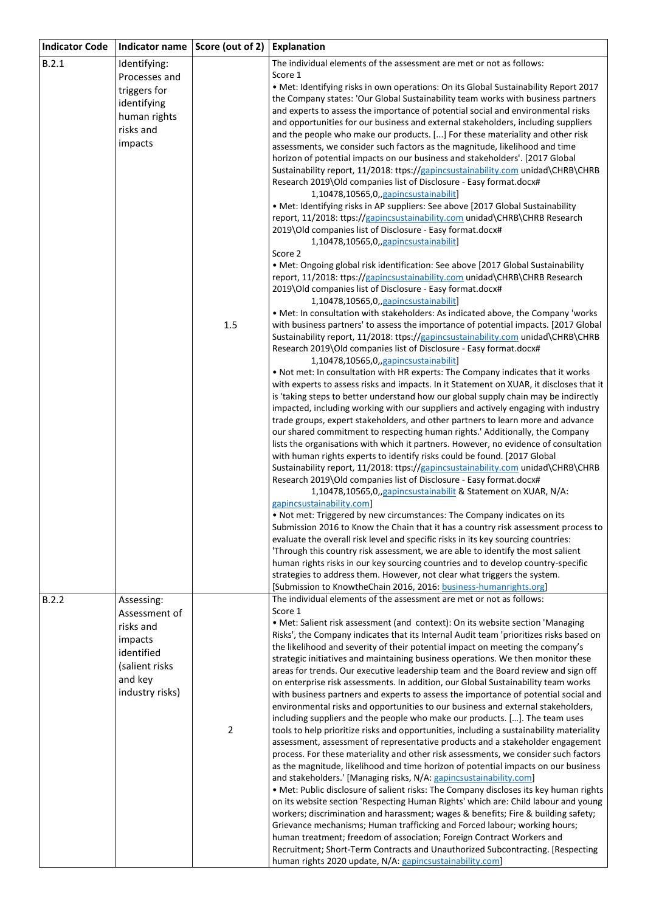| <b>Indicator Code</b> | Indicator name  | Score (out of 2) | <b>Explanation</b>                                                                                                                                                             |
|-----------------------|-----------------|------------------|--------------------------------------------------------------------------------------------------------------------------------------------------------------------------------|
| B.2.1                 | Identifying:    |                  | The individual elements of the assessment are met or not as follows:                                                                                                           |
|                       | Processes and   |                  | Score 1                                                                                                                                                                        |
|                       | triggers for    |                  | • Met: Identifying risks in own operations: On its Global Sustainability Report 2017                                                                                           |
|                       | identifying     |                  | the Company states: 'Our Global Sustainability team works with business partners<br>and experts to assess the importance of potential social and environmental risks           |
|                       | human rights    |                  | and opportunities for our business and external stakeholders, including suppliers                                                                                              |
|                       | risks and       |                  | and the people who make our products. [] For these materiality and other risk                                                                                                  |
|                       | impacts         |                  | assessments, we consider such factors as the magnitude, likelihood and time                                                                                                    |
|                       |                 |                  | horizon of potential impacts on our business and stakeholders'. [2017 Global                                                                                                   |
|                       |                 |                  | Sustainability report, 11/2018: ttps://gapincsustainability.com unidad\CHRB\CHRB                                                                                               |
|                       |                 |                  | Research 2019\Old companies list of Disclosure - Easy format.docx#                                                                                                             |
|                       |                 |                  | 1,10478,10565,0,,gapincsustainabilit]                                                                                                                                          |
|                       |                 |                  | • Met: Identifying risks in AP suppliers: See above [2017 Global Sustainability<br>report, 11/2018: ttps://gapincsustainability.com unidad\CHRB\CHRB Research                  |
|                       |                 |                  | 2019\Old companies list of Disclosure - Easy format.docx#                                                                                                                      |
|                       |                 |                  | 1,10478,10565,0,,gapincsustainabilit]                                                                                                                                          |
|                       |                 |                  | Score 2                                                                                                                                                                        |
|                       |                 |                  | • Met: Ongoing global risk identification: See above [2017 Global Sustainability                                                                                               |
|                       |                 |                  | report, 11/2018: ttps://gapincsustainability.com unidad\CHRB\CHRB Research                                                                                                     |
|                       |                 |                  | 2019\Old companies list of Disclosure - Easy format.docx#<br>1,10478,10565,0,,gapincsustainabilit]                                                                             |
|                       |                 |                  | . Met: In consultation with stakeholders: As indicated above, the Company 'works                                                                                               |
|                       |                 | $1.5\,$          | with business partners' to assess the importance of potential impacts. [2017 Global                                                                                            |
|                       |                 |                  | Sustainability report, 11/2018: ttps://gapincsustainability.com unidad\CHRB\CHRB                                                                                               |
|                       |                 |                  | Research 2019\Old companies list of Disclosure - Easy format.docx#                                                                                                             |
|                       |                 |                  | 1,10478,10565,0,,gapincsustainabilit]                                                                                                                                          |
|                       |                 |                  | . Not met: In consultation with HR experts: The Company indicates that it works                                                                                                |
|                       |                 |                  | with experts to assess risks and impacts. In it Statement on XUAR, it discloses that it<br>is 'taking steps to better understand how our global supply chain may be indirectly |
|                       |                 |                  | impacted, including working with our suppliers and actively engaging with industry                                                                                             |
|                       |                 |                  | trade groups, expert stakeholders, and other partners to learn more and advance                                                                                                |
|                       |                 |                  | our shared commitment to respecting human rights.' Additionally, the Company                                                                                                   |
|                       |                 |                  | lists the organisations with which it partners. However, no evidence of consultation                                                                                           |
|                       |                 |                  | with human rights experts to identify risks could be found. [2017 Global                                                                                                       |
|                       |                 |                  | Sustainability report, 11/2018: ttps://gapincsustainability.com unidad\CHRB\CHRB<br>Research 2019\Old companies list of Disclosure - Easy format.docx#                         |
|                       |                 |                  | 1,10478,10565,0, gapincsustainabilit & Statement on XUAR, N/A:                                                                                                                 |
|                       |                 |                  | gapincsustainability.com]                                                                                                                                                      |
|                       |                 |                  | . Not met: Triggered by new circumstances: The Company indicates on its                                                                                                        |
|                       |                 |                  | Submission 2016 to Know the Chain that it has a country risk assessment process to                                                                                             |
|                       |                 |                  | evaluate the overall risk level and specific risks in its key sourcing countries:                                                                                              |
|                       |                 |                  | 'Through this country risk assessment, we are able to identify the most salient<br>human rights risks in our key sourcing countries and to develop country-specific            |
|                       |                 |                  | strategies to address them. However, not clear what triggers the system.                                                                                                       |
|                       |                 |                  | [Submission to KnowtheChain 2016, 2016: business-humanrights.org]                                                                                                              |
| B.2.2                 | Assessing:      |                  | The individual elements of the assessment are met or not as follows:                                                                                                           |
|                       | Assessment of   |                  | Score 1                                                                                                                                                                        |
|                       | risks and       |                  | • Met: Salient risk assessment (and context): On its website section 'Managing                                                                                                 |
|                       | impacts         |                  | Risks', the Company indicates that its Internal Audit team 'prioritizes risks based on<br>the likelihood and severity of their potential impact on meeting the company's       |
|                       | identified      |                  | strategic initiatives and maintaining business operations. We then monitor these                                                                                               |
|                       | (salient risks  |                  | areas for trends. Our executive leadership team and the Board review and sign off                                                                                              |
|                       | and key         |                  | on enterprise risk assessments. In addition, our Global Sustainability team works                                                                                              |
|                       | industry risks) |                  | with business partners and experts to assess the importance of potential social and                                                                                            |
|                       |                 |                  | environmental risks and opportunities to our business and external stakeholders,                                                                                               |
|                       |                 | $\overline{2}$   | including suppliers and the people who make our products. []. The team uses<br>tools to help prioritize risks and opportunities, including a sustainability materiality        |
|                       |                 |                  | assessment, assessment of representative products and a stakeholder engagement                                                                                                 |
|                       |                 |                  | process. For these materiality and other risk assessments, we consider such factors                                                                                            |
|                       |                 |                  | as the magnitude, likelihood and time horizon of potential impacts on our business                                                                                             |
|                       |                 |                  | and stakeholders.' [Managing risks, N/A: gapincsustainability.com]                                                                                                             |
|                       |                 |                  | . Met: Public disclosure of salient risks: The Company discloses its key human rights                                                                                          |
|                       |                 |                  | on its website section 'Respecting Human Rights' which are: Child labour and young<br>workers; discrimination and harassment; wages & benefits; Fire & building safety;        |
|                       |                 |                  | Grievance mechanisms; Human trafficking and Forced labour; working hours;                                                                                                      |
|                       |                 |                  | human treatment; freedom of association; Foreign Contract Workers and                                                                                                          |
|                       |                 |                  | Recruitment; Short-Term Contracts and Unauthorized Subcontracting. [Respecting                                                                                                 |
|                       |                 |                  | human rights 2020 update, N/A: gapincsustainability.com]                                                                                                                       |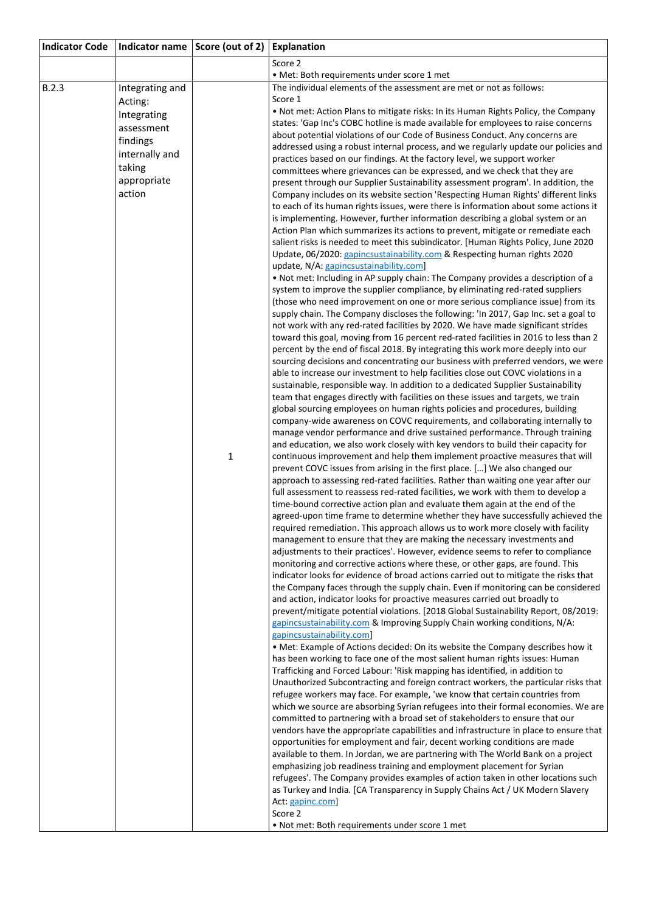| <b>Indicator Code</b> |                          | Indicator name Score (out of 2) Explanation |                                                                                                                                                                        |
|-----------------------|--------------------------|---------------------------------------------|------------------------------------------------------------------------------------------------------------------------------------------------------------------------|
|                       |                          |                                             | Score 2                                                                                                                                                                |
|                       |                          |                                             | • Met: Both requirements under score 1 met                                                                                                                             |
| B.2.3                 | Integrating and          |                                             | The individual elements of the assessment are met or not as follows:<br>Score 1                                                                                        |
|                       | Acting:                  |                                             | . Not met: Action Plans to mitigate risks: In its Human Rights Policy, the Company                                                                                     |
|                       | Integrating              |                                             | states: 'Gap Inc's COBC hotline is made available for employees to raise concerns                                                                                      |
|                       | assessment               |                                             | about potential violations of our Code of Business Conduct. Any concerns are                                                                                           |
|                       | findings                 |                                             | addressed using a robust internal process, and we regularly update our policies and                                                                                    |
|                       | internally and<br>taking |                                             | practices based on our findings. At the factory level, we support worker                                                                                               |
|                       | appropriate              |                                             | committees where grievances can be expressed, and we check that they are                                                                                               |
|                       | action                   |                                             | present through our Supplier Sustainability assessment program'. In addition, the<br>Company includes on its website section 'Respecting Human Rights' different links |
|                       |                          |                                             | to each of its human rights issues, were there is information about some actions it                                                                                    |
|                       |                          |                                             | is implementing. However, further information describing a global system or an                                                                                         |
|                       |                          |                                             | Action Plan which summarizes its actions to prevent, mitigate or remediate each                                                                                        |
|                       |                          |                                             | salient risks is needed to meet this subindicator. [Human Rights Policy, June 2020                                                                                     |
|                       |                          |                                             | Update, 06/2020: gapincsustainability.com & Respecting human rights 2020                                                                                               |
|                       |                          |                                             | update, N/A: gapincsustainability.com]                                                                                                                                 |
|                       |                          |                                             | . Not met: Including in AP supply chain: The Company provides a description of a<br>system to improve the supplier compliance, by eliminating red-rated suppliers      |
|                       |                          |                                             | (those who need improvement on one or more serious compliance issue) from its                                                                                          |
|                       |                          |                                             | supply chain. The Company discloses the following: 'In 2017, Gap Inc. set a goal to                                                                                    |
|                       |                          |                                             | not work with any red-rated facilities by 2020. We have made significant strides                                                                                       |
|                       |                          |                                             | toward this goal, moving from 16 percent red-rated facilities in 2016 to less than 2                                                                                   |
|                       |                          |                                             | percent by the end of fiscal 2018. By integrating this work more deeply into our                                                                                       |
|                       |                          |                                             | sourcing decisions and concentrating our business with preferred vendors, we were<br>able to increase our investment to help facilities close out COVC violations in a |
|                       |                          |                                             | sustainable, responsible way. In addition to a dedicated Supplier Sustainability                                                                                       |
|                       |                          |                                             | team that engages directly with facilities on these issues and targets, we train                                                                                       |
|                       |                          |                                             | global sourcing employees on human rights policies and procedures, building                                                                                            |
|                       |                          |                                             | company-wide awareness on COVC requirements, and collaborating internally to                                                                                           |
|                       |                          |                                             | manage vendor performance and drive sustained performance. Through training                                                                                            |
|                       |                          | $\mathbf{1}$                                | and education, we also work closely with key vendors to build their capacity for                                                                                       |
|                       |                          |                                             | continuous improvement and help them implement proactive measures that will<br>prevent COVC issues from arising in the first place. [] We also changed our             |
|                       |                          |                                             | approach to assessing red-rated facilities. Rather than waiting one year after our                                                                                     |
|                       |                          |                                             | full assessment to reassess red-rated facilities, we work with them to develop a                                                                                       |
|                       |                          |                                             | time-bound corrective action plan and evaluate them again at the end of the                                                                                            |
|                       |                          |                                             | agreed-upon time frame to determine whether they have successfully achieved the                                                                                        |
|                       |                          |                                             | required remediation. This approach allows us to work more closely with facility                                                                                       |
|                       |                          |                                             | management to ensure that they are making the necessary investments and<br>adjustments to their practices'. However, evidence seems to refer to compliance             |
|                       |                          |                                             | monitoring and corrective actions where these, or other gaps, are found. This                                                                                          |
|                       |                          |                                             | indicator looks for evidence of broad actions carried out to mitigate the risks that                                                                                   |
|                       |                          |                                             | the Company faces through the supply chain. Even if monitoring can be considered                                                                                       |
|                       |                          |                                             | and action, indicator looks for proactive measures carried out broadly to                                                                                              |
|                       |                          |                                             | prevent/mitigate potential violations. [2018 Global Sustainability Report, 08/2019:                                                                                    |
|                       |                          |                                             | gapincsustainability.com & Improving Supply Chain working conditions, N/A:<br>gapincsustainability.com]                                                                |
|                       |                          |                                             | . Met: Example of Actions decided: On its website the Company describes how it                                                                                         |
|                       |                          |                                             | has been working to face one of the most salient human rights issues: Human                                                                                            |
|                       |                          |                                             | Trafficking and Forced Labour: 'Risk mapping has identified, in addition to                                                                                            |
|                       |                          |                                             | Unauthorized Subcontracting and foreign contract workers, the particular risks that                                                                                    |
|                       |                          |                                             | refugee workers may face. For example, 'we know that certain countries from                                                                                            |
|                       |                          |                                             | which we source are absorbing Syrian refugees into their formal economies. We are<br>committed to partnering with a broad set of stakeholders to ensure that our       |
|                       |                          |                                             | vendors have the appropriate capabilities and infrastructure in place to ensure that                                                                                   |
|                       |                          |                                             | opportunities for employment and fair, decent working conditions are made                                                                                              |
|                       |                          |                                             | available to them. In Jordan, we are partnering with The World Bank on a project                                                                                       |
|                       |                          |                                             | emphasizing job readiness training and employment placement for Syrian                                                                                                 |
|                       |                          |                                             | refugees'. The Company provides examples of action taken in other locations such                                                                                       |
|                       |                          |                                             | as Turkey and India. [CA Transparency in Supply Chains Act / UK Modern Slavery<br>Act: gapinc.com]                                                                     |
|                       |                          |                                             | Score 2                                                                                                                                                                |
|                       |                          |                                             | . Not met: Both requirements under score 1 met                                                                                                                         |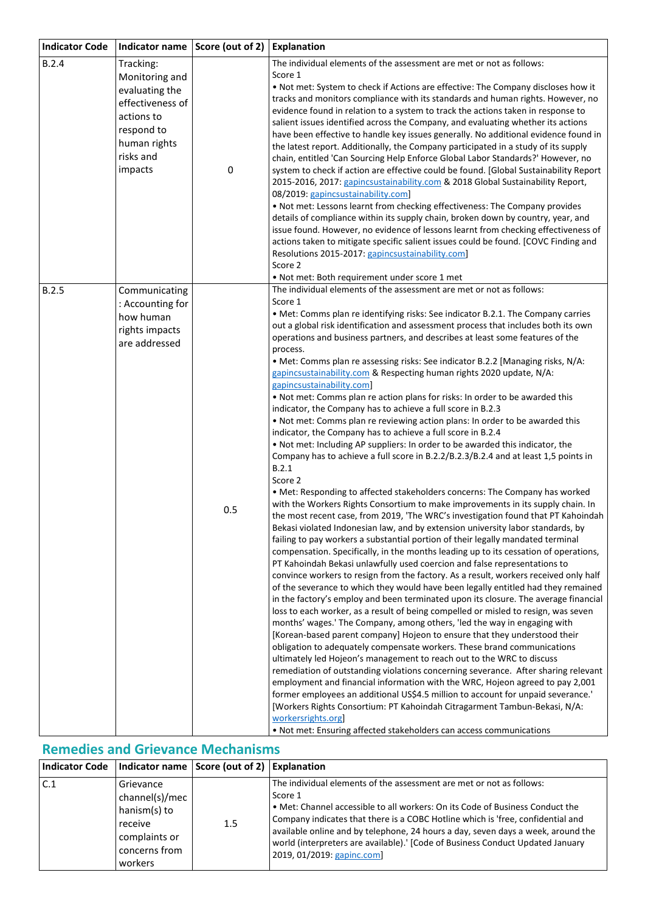| <b>Indicator Code</b> | Indicator name                                                                                                                        | Score (out of 2) | <b>Explanation</b>                                                                                                                                                                                                                                                                                                                                                                                                                                                                                                                                                                                                                                                                                                                                                                                                                                                                                                                                                                                                                                                                                                                                                                                                                                                                                                                                                                                                                                                                                                                                                                                                                                                                                                                                                                                                                                                                                                                                                                                                                                                                                                                                                                                                                                                                                                                                                                                                                                                                                                                                                                                                                                                                                                                                    |
|-----------------------|---------------------------------------------------------------------------------------------------------------------------------------|------------------|-------------------------------------------------------------------------------------------------------------------------------------------------------------------------------------------------------------------------------------------------------------------------------------------------------------------------------------------------------------------------------------------------------------------------------------------------------------------------------------------------------------------------------------------------------------------------------------------------------------------------------------------------------------------------------------------------------------------------------------------------------------------------------------------------------------------------------------------------------------------------------------------------------------------------------------------------------------------------------------------------------------------------------------------------------------------------------------------------------------------------------------------------------------------------------------------------------------------------------------------------------------------------------------------------------------------------------------------------------------------------------------------------------------------------------------------------------------------------------------------------------------------------------------------------------------------------------------------------------------------------------------------------------------------------------------------------------------------------------------------------------------------------------------------------------------------------------------------------------------------------------------------------------------------------------------------------------------------------------------------------------------------------------------------------------------------------------------------------------------------------------------------------------------------------------------------------------------------------------------------------------------------------------------------------------------------------------------------------------------------------------------------------------------------------------------------------------------------------------------------------------------------------------------------------------------------------------------------------------------------------------------------------------------------------------------------------------------------------------------------------------|
| B.2.4                 | Tracking:<br>Monitoring and<br>evaluating the<br>effectiveness of<br>actions to<br>respond to<br>human rights<br>risks and<br>impacts | 0                | The individual elements of the assessment are met or not as follows:<br>Score 1<br>. Not met: System to check if Actions are effective: The Company discloses how it<br>tracks and monitors compliance with its standards and human rights. However, no<br>evidence found in relation to a system to track the actions taken in response to<br>salient issues identified across the Company, and evaluating whether its actions<br>have been effective to handle key issues generally. No additional evidence found in<br>the latest report. Additionally, the Company participated in a study of its supply<br>chain, entitled 'Can Sourcing Help Enforce Global Labor Standards?' However, no<br>system to check if action are effective could be found. [Global Sustainability Report<br>2015-2016, 2017: gapincsustainability.com & 2018 Global Sustainability Report,<br>08/2019: gapincsustainability.com]<br>. Not met: Lessons learnt from checking effectiveness: The Company provides<br>details of compliance within its supply chain, broken down by country, year, and<br>issue found. However, no evidence of lessons learnt from checking effectiveness of<br>actions taken to mitigate specific salient issues could be found. [COVC Finding and<br>Resolutions 2015-2017: gapincsustainability.com]<br>Score 2<br>• Not met: Both requirement under score 1 met                                                                                                                                                                                                                                                                                                                                                                                                                                                                                                                                                                                                                                                                                                                                                                                                                                                                                                                                                                                                                                                                                                                                                                                                                                                                                                                                                                      |
| B.2.5                 | Communicating<br>: Accounting for<br>how human<br>rights impacts<br>are addressed                                                     | 0.5              | The individual elements of the assessment are met or not as follows:<br>Score 1<br>• Met: Comms plan re identifying risks: See indicator B.2.1. The Company carries<br>out a global risk identification and assessment process that includes both its own<br>operations and business partners, and describes at least some features of the<br>process.<br>• Met: Comms plan re assessing risks: See indicator B.2.2 [Managing risks, N/A:<br>gapincsustainability.com & Respecting human rights 2020 update, N/A:<br>gapincsustainability.com]<br>. Not met: Comms plan re action plans for risks: In order to be awarded this<br>indicator, the Company has to achieve a full score in B.2.3<br>. Not met: Comms plan re reviewing action plans: In order to be awarded this<br>indicator, the Company has to achieve a full score in B.2.4<br>. Not met: Including AP suppliers: In order to be awarded this indicator, the<br>Company has to achieve a full score in B.2.2/B.2.3/B.2.4 and at least 1,5 points in<br>B.2.1<br>Score 2<br>• Met: Responding to affected stakeholders concerns: The Company has worked<br>with the Workers Rights Consortium to make improvements in its supply chain. In<br>the most recent case, from 2019, 'The WRC's investigation found that PT Kahoindah<br>Bekasi violated Indonesian law, and by extension university labor standards, by<br>failing to pay workers a substantial portion of their legally mandated terminal<br>compensation. Specifically, in the months leading up to its cessation of operations,<br>PT Kahoindah Bekasi unlawfully used coercion and false representations to<br>convince workers to resign from the factory. As a result, workers received only half<br>of the severance to which they would have been legally entitled had they remained<br>in the factory's employ and been terminated upon its closure. The average financial<br>loss to each worker, as a result of being compelled or misled to resign, was seven<br>months' wages.' The Company, among others, 'led the way in engaging with<br>[Korean-based parent company] Hojeon to ensure that they understood their<br>obligation to adequately compensate workers. These brand communications<br>ultimately led Hojeon's management to reach out to the WRC to discuss<br>remediation of outstanding violations concerning severance. After sharing relevant<br>employment and financial information with the WRC, Hojeon agreed to pay 2,001<br>former employees an additional US\$4.5 million to account for unpaid severance.'<br>[Workers Rights Consortium: PT Kahoindah Citragarment Tambun-Bekasi, N/A:<br>workersrights.org<br>. Not met: Ensuring affected stakeholders can access communications |

## **Remedies and Grievance Mechanisms**

|     | Indicator Code   Indicator name   Score (out of 2)   Explanation                                    |         |                                                                                                                                                                                                                                                                                                                                                                                                                                                         |
|-----|-----------------------------------------------------------------------------------------------------|---------|---------------------------------------------------------------------------------------------------------------------------------------------------------------------------------------------------------------------------------------------------------------------------------------------------------------------------------------------------------------------------------------------------------------------------------------------------------|
| C.1 | Grievance<br>channel(s)/mec<br>hanism(s) to<br>receive<br>complaints or<br>concerns from<br>workers | $1.5\,$ | The individual elements of the assessment are met or not as follows:<br>Score 1<br>• Met: Channel accessible to all workers: On its Code of Business Conduct the<br>Company indicates that there is a COBC Hotline which is 'free, confidential and<br>available online and by telephone, 24 hours a day, seven days a week, around the<br>world (interpreters are available).' [Code of Business Conduct Updated January<br>2019, 01/2019: gapinc.com] |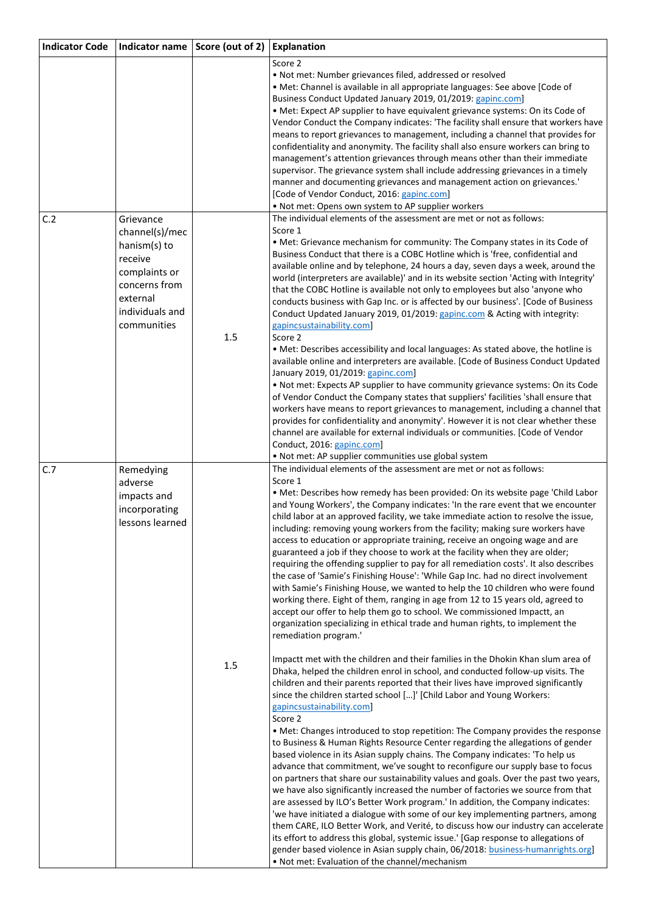| <b>Indicator Code</b> | Indicator name Score (out of 2) |     | <b>Explanation</b>                                                                                                                                                    |
|-----------------------|---------------------------------|-----|-----------------------------------------------------------------------------------------------------------------------------------------------------------------------|
|                       |                                 |     | Score 2                                                                                                                                                               |
|                       |                                 |     | . Not met: Number grievances filed, addressed or resolved                                                                                                             |
|                       |                                 |     | · Met: Channel is available in all appropriate languages: See above [Code of                                                                                          |
|                       |                                 |     | Business Conduct Updated January 2019, 01/2019: gapinc.com]                                                                                                           |
|                       |                                 |     | • Met: Expect AP supplier to have equivalent grievance systems: On its Code of                                                                                        |
|                       |                                 |     | Vendor Conduct the Company indicates: 'The facility shall ensure that workers have                                                                                    |
|                       |                                 |     | means to report grievances to management, including a channel that provides for<br>confidentiality and anonymity. The facility shall also ensure workers can bring to |
|                       |                                 |     | management's attention grievances through means other than their immediate                                                                                            |
|                       |                                 |     | supervisor. The grievance system shall include addressing grievances in a timely                                                                                      |
|                       |                                 |     | manner and documenting grievances and management action on grievances.'                                                                                               |
|                       |                                 |     | [Code of Vendor Conduct, 2016: gapinc.com]                                                                                                                            |
|                       |                                 |     | . Not met: Opens own system to AP supplier workers                                                                                                                    |
| C.2                   | Grievance                       |     | The individual elements of the assessment are met or not as follows:                                                                                                  |
|                       | channel(s)/mec                  |     | Score 1                                                                                                                                                               |
|                       | hanism(s) to                    |     | . Met: Grievance mechanism for community: The Company states in its Code of                                                                                           |
|                       | receive                         |     | Business Conduct that there is a COBC Hotline which is 'free, confidential and                                                                                        |
|                       | complaints or                   |     | available online and by telephone, 24 hours a day, seven days a week, around the                                                                                      |
|                       |                                 |     | world (interpreters are available)' and in its website section 'Acting with Integrity'                                                                                |
|                       | concerns from                   |     | that the COBC Hotline is available not only to employees but also 'anyone who                                                                                         |
|                       | external                        |     | conducts business with Gap Inc. or is affected by our business'. [Code of Business                                                                                    |
|                       | individuals and                 |     | Conduct Updated January 2019, 01/2019: gapinc.com & Acting with integrity:                                                                                            |
|                       | communities                     |     | gapincsustainability.com]                                                                                                                                             |
|                       |                                 | 1.5 | Score 2                                                                                                                                                               |
|                       |                                 |     | • Met: Describes accessibility and local languages: As stated above, the hotline is                                                                                   |
|                       |                                 |     | available online and interpreters are available. [Code of Business Conduct Updated<br>January 2019, 01/2019: gapinc.com]                                              |
|                       |                                 |     | . Not met: Expects AP supplier to have community grievance systems: On its Code                                                                                       |
|                       |                                 |     | of Vendor Conduct the Company states that suppliers' facilities 'shall ensure that                                                                                    |
|                       |                                 |     | workers have means to report grievances to management, including a channel that                                                                                       |
|                       |                                 |     | provides for confidentiality and anonymity'. However it is not clear whether these                                                                                    |
|                       |                                 |     | channel are available for external individuals or communities. [Code of Vendor                                                                                        |
|                       |                                 |     | Conduct, 2016: gapinc.com]                                                                                                                                            |
|                       |                                 |     | . Not met: AP supplier communities use global system                                                                                                                  |
| C.7                   | Remedying                       |     | The individual elements of the assessment are met or not as follows:                                                                                                  |
|                       | adverse                         |     | Score 1                                                                                                                                                               |
|                       | impacts and                     |     | . Met: Describes how remedy has been provided: On its website page 'Child Labor                                                                                       |
|                       | incorporating                   |     | and Young Workers', the Company indicates: 'In the rare event that we encounter                                                                                       |
|                       | lessons learned                 |     | child labor at an approved facility, we take immediate action to resolve the issue,                                                                                   |
|                       |                                 |     | including: removing young workers from the facility; making sure workers have                                                                                         |
|                       |                                 |     | access to education or appropriate training, receive an ongoing wage and are<br>guaranteed a job if they choose to work at the facility when they are older;          |
|                       |                                 |     | requiring the offending supplier to pay for all remediation costs'. It also describes                                                                                 |
|                       |                                 |     | the case of 'Samie's Finishing House': 'While Gap Inc. had no direct involvement                                                                                      |
|                       |                                 |     | with Samie's Finishing House, we wanted to help the 10 children who were found                                                                                        |
|                       |                                 |     | working there. Eight of them, ranging in age from 12 to 15 years old, agreed to                                                                                       |
|                       |                                 |     | accept our offer to help them go to school. We commissioned Impactt, an                                                                                               |
|                       |                                 |     | organization specializing in ethical trade and human rights, to implement the                                                                                         |
|                       |                                 |     | remediation program.'                                                                                                                                                 |
|                       |                                 |     |                                                                                                                                                                       |
|                       |                                 | 1.5 | Impactt met with the children and their families in the Dhokin Khan slum area of                                                                                      |
|                       |                                 |     | Dhaka, helped the children enrol in school, and conducted follow-up visits. The                                                                                       |
|                       |                                 |     | children and their parents reported that their lives have improved significantly                                                                                      |
|                       |                                 |     | since the children started school []' [Child Labor and Young Workers:                                                                                                 |
|                       |                                 |     | gapincsustainability.com]                                                                                                                                             |
|                       |                                 |     | Score 2                                                                                                                                                               |
|                       |                                 |     | • Met: Changes introduced to stop repetition: The Company provides the response<br>to Business & Human Rights Resource Center regarding the allegations of gender     |
|                       |                                 |     | based violence in its Asian supply chains. The Company indicates: 'To help us                                                                                         |
|                       |                                 |     | advance that commitment, we've sought to reconfigure our supply base to focus                                                                                         |
|                       |                                 |     | on partners that share our sustainability values and goals. Over the past two years,                                                                                  |
|                       |                                 |     | we have also significantly increased the number of factories we source from that                                                                                      |
|                       |                                 |     | are assessed by ILO's Better Work program.' In addition, the Company indicates:                                                                                       |
|                       |                                 |     | 'we have initiated a dialogue with some of our key implementing partners, among                                                                                       |
|                       |                                 |     | them CARE, ILO Better Work, and Verité, to discuss how our industry can accelerate                                                                                    |
|                       |                                 |     | its effort to address this global, systemic issue.' [Gap response to allegations of                                                                                   |
|                       |                                 |     | gender based violence in Asian supply chain, 06/2018: business-humanrights.org]                                                                                       |
|                       |                                 |     | . Not met: Evaluation of the channel/mechanism                                                                                                                        |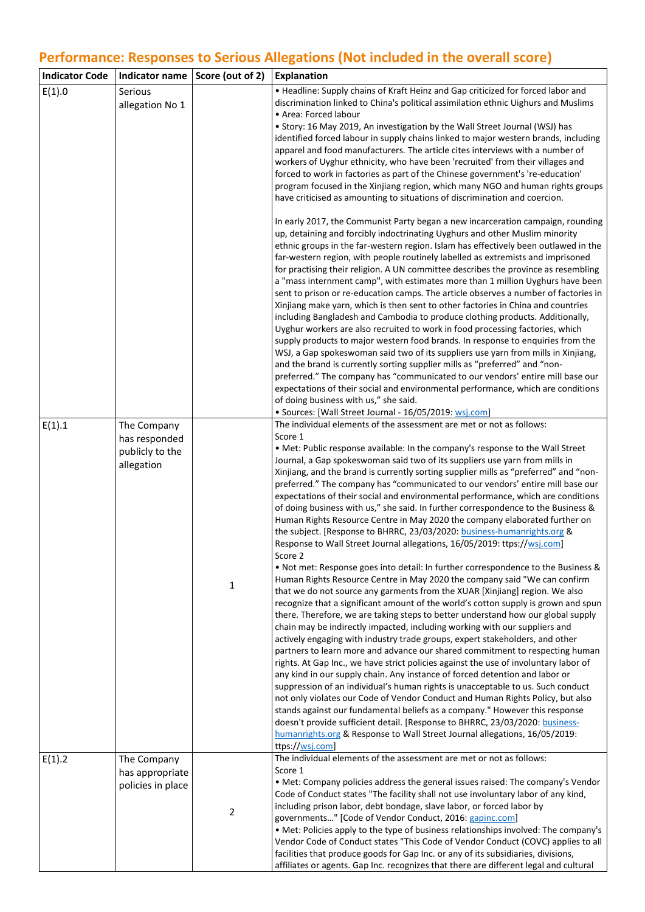# **Performance: Responses to Serious Allegations (Not included in the overall score)**

| <b>Indicator Code</b> | Indicator name   Score (out of 2)                             |                | Explanation                                                                                                                                                                                                                                                                                                                                                                                                                                                                                                                                                                                                                                                                                                                                                                                                                                                                                                                                                                                                                                                                                                                                                                                                                                                                                                                                                                                                                                                                                                                                                                                                                                                                                                                                                                                                                                                                                                                                                                                                                                                                                                                              |
|-----------------------|---------------------------------------------------------------|----------------|------------------------------------------------------------------------------------------------------------------------------------------------------------------------------------------------------------------------------------------------------------------------------------------------------------------------------------------------------------------------------------------------------------------------------------------------------------------------------------------------------------------------------------------------------------------------------------------------------------------------------------------------------------------------------------------------------------------------------------------------------------------------------------------------------------------------------------------------------------------------------------------------------------------------------------------------------------------------------------------------------------------------------------------------------------------------------------------------------------------------------------------------------------------------------------------------------------------------------------------------------------------------------------------------------------------------------------------------------------------------------------------------------------------------------------------------------------------------------------------------------------------------------------------------------------------------------------------------------------------------------------------------------------------------------------------------------------------------------------------------------------------------------------------------------------------------------------------------------------------------------------------------------------------------------------------------------------------------------------------------------------------------------------------------------------------------------------------------------------------------------------------|
| E(1).0                | Serious<br>allegation No 1                                    |                | • Headline: Supply chains of Kraft Heinz and Gap criticized for forced labor and<br>discrimination linked to China's political assimilation ethnic Uighurs and Muslims<br>• Area: Forced labour<br>• Story: 16 May 2019, An investigation by the Wall Street Journal (WSJ) has<br>identified forced labour in supply chains linked to major western brands, including<br>apparel and food manufacturers. The article cites interviews with a number of<br>workers of Uyghur ethnicity, who have been 'recruited' from their villages and<br>forced to work in factories as part of the Chinese government's 're-education'<br>program focused in the Xinjiang region, which many NGO and human rights groups<br>have criticised as amounting to situations of discrimination and coercion.<br>In early 2017, the Communist Party began a new incarceration campaign, rounding<br>up, detaining and forcibly indoctrinating Uyghurs and other Muslim minority<br>ethnic groups in the far-western region. Islam has effectively been outlawed in the<br>far-western region, with people routinely labelled as extremists and imprisoned<br>for practising their religion. A UN committee describes the province as resembling<br>a "mass internment camp", with estimates more than 1 million Uyghurs have been<br>sent to prison or re-education camps. The article observes a number of factories in<br>Xinjiang make yarn, which is then sent to other factories in China and countries<br>including Bangladesh and Cambodia to produce clothing products. Additionally,<br>Uyghur workers are also recruited to work in food processing factories, which<br>supply products to major western food brands. In response to enquiries from the<br>WSJ, a Gap spokeswoman said two of its suppliers use yarn from mills in Xinjiang,<br>and the brand is currently sorting supplier mills as "preferred" and "non-<br>preferred." The company has "communicated to our vendors' entire mill base our<br>expectations of their social and environmental performance, which are conditions<br>of doing business with us," she said.         |
|                       |                                                               |                | · Sources: [Wall Street Journal - 16/05/2019: wsj.com]                                                                                                                                                                                                                                                                                                                                                                                                                                                                                                                                                                                                                                                                                                                                                                                                                                                                                                                                                                                                                                                                                                                                                                                                                                                                                                                                                                                                                                                                                                                                                                                                                                                                                                                                                                                                                                                                                                                                                                                                                                                                                   |
| E(1).1                | The Company<br>has responded<br>publicly to the<br>allegation | $\mathbf{1}$   | The individual elements of the assessment are met or not as follows:<br>Score 1<br>. Met: Public response available: In the company's response to the Wall Street<br>Journal, a Gap spokeswoman said two of its suppliers use yarn from mills in<br>Xinjiang, and the brand is currently sorting supplier mills as "preferred" and "non-<br>preferred." The company has "communicated to our vendors' entire mill base our<br>expectations of their social and environmental performance, which are conditions<br>of doing business with us," she said. In further correspondence to the Business &<br>Human Rights Resource Centre in May 2020 the company elaborated further on<br>the subject. [Response to BHRRC, 23/03/2020: business-humanrights.org &<br>Response to Wall Street Journal allegations, 16/05/2019: ttps://wsj.com]<br>Score 2<br>. Not met: Response goes into detail: In further correspondence to the Business &<br>Human Rights Resource Centre in May 2020 the company said "We can confirm<br>that we do not source any garments from the XUAR [Xinjiang] region. We also<br>recognize that a significant amount of the world's cotton supply is grown and spun<br>there. Therefore, we are taking steps to better understand how our global supply<br>chain may be indirectly impacted, including working with our suppliers and<br>actively engaging with industry trade groups, expert stakeholders, and other<br>partners to learn more and advance our shared commitment to respecting human<br>rights. At Gap Inc., we have strict policies against the use of involuntary labor of<br>any kind in our supply chain. Any instance of forced detention and labor or<br>suppression of an individual's human rights is unacceptable to us. Such conduct<br>not only violates our Code of Vendor Conduct and Human Rights Policy, but also<br>stands against our fundamental beliefs as a company." However this response<br>doesn't provide sufficient detail. [Response to BHRRC, 23/03/2020: business-<br>humanrights.org & Response to Wall Street Journal allegations, 16/05/2019:<br>ttps://wsj.com] |
| E(1).2                | The Company<br>has appropriate<br>policies in place           | $\overline{2}$ | The individual elements of the assessment are met or not as follows:<br>Score 1<br>• Met: Company policies address the general issues raised: The company's Vendor<br>Code of Conduct states "The facility shall not use involuntary labor of any kind,<br>including prison labor, debt bondage, slave labor, or forced labor by<br>governments" [Code of Vendor Conduct, 2016: gapinc.com]<br>• Met: Policies apply to the type of business relationships involved: The company's<br>Vendor Code of Conduct states "This Code of Vendor Conduct (COVC) applies to all<br>facilities that produce goods for Gap Inc. or any of its subsidiaries, divisions,<br>affiliates or agents. Gap Inc. recognizes that there are different legal and cultural                                                                                                                                                                                                                                                                                                                                                                                                                                                                                                                                                                                                                                                                                                                                                                                                                                                                                                                                                                                                                                                                                                                                                                                                                                                                                                                                                                                     |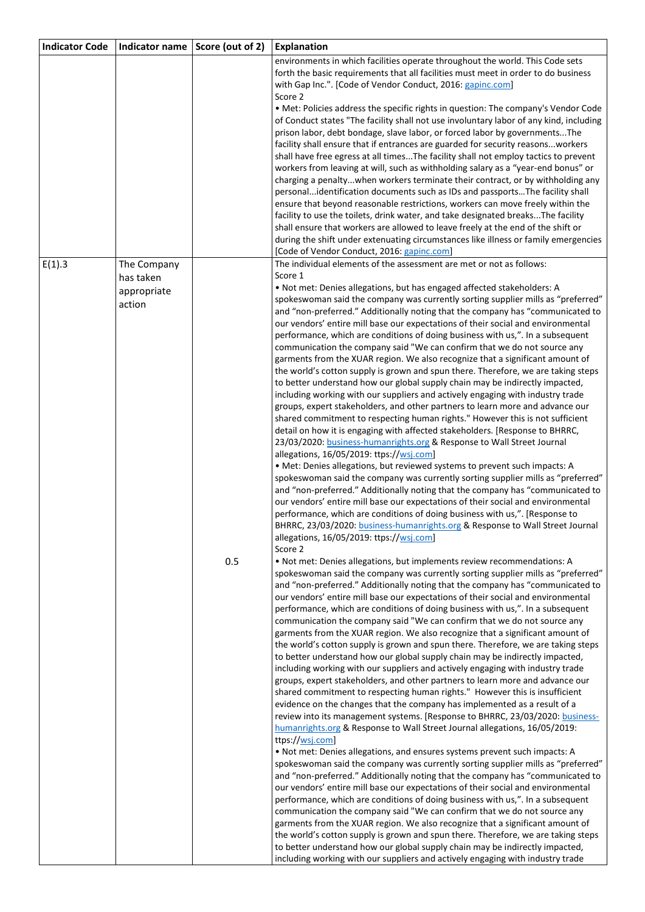| <b>Indicator Code</b> | Indicator name                     | Score (out of 2) | <b>Explanation</b>                                                                                                                                                                                                                                                                                                                                                                                                                                                                                                                                                                                                                                                                                                                                                                                                                                                                                                                                                                                                                                                                                                                                                                                                                                                                                                                                                                                                                                                                                                                                                                                                                                                                                                                                                                                                                                                                                                                                                                                                                                                                                                   |
|-----------------------|------------------------------------|------------------|----------------------------------------------------------------------------------------------------------------------------------------------------------------------------------------------------------------------------------------------------------------------------------------------------------------------------------------------------------------------------------------------------------------------------------------------------------------------------------------------------------------------------------------------------------------------------------------------------------------------------------------------------------------------------------------------------------------------------------------------------------------------------------------------------------------------------------------------------------------------------------------------------------------------------------------------------------------------------------------------------------------------------------------------------------------------------------------------------------------------------------------------------------------------------------------------------------------------------------------------------------------------------------------------------------------------------------------------------------------------------------------------------------------------------------------------------------------------------------------------------------------------------------------------------------------------------------------------------------------------------------------------------------------------------------------------------------------------------------------------------------------------------------------------------------------------------------------------------------------------------------------------------------------------------------------------------------------------------------------------------------------------------------------------------------------------------------------------------------------------|
|                       |                                    |                  | environments in which facilities operate throughout the world. This Code sets<br>forth the basic requirements that all facilities must meet in order to do business<br>with Gap Inc.". [Code of Vendor Conduct, 2016: gapinc.com]                                                                                                                                                                                                                                                                                                                                                                                                                                                                                                                                                                                                                                                                                                                                                                                                                                                                                                                                                                                                                                                                                                                                                                                                                                                                                                                                                                                                                                                                                                                                                                                                                                                                                                                                                                                                                                                                                    |
|                       |                                    |                  | Score 2<br>• Met: Policies address the specific rights in question: The company's Vendor Code<br>of Conduct states "The facility shall not use involuntary labor of any kind, including                                                                                                                                                                                                                                                                                                                                                                                                                                                                                                                                                                                                                                                                                                                                                                                                                                                                                                                                                                                                                                                                                                                                                                                                                                                                                                                                                                                                                                                                                                                                                                                                                                                                                                                                                                                                                                                                                                                              |
|                       |                                    |                  | prison labor, debt bondage, slave labor, or forced labor by governmentsThe<br>facility shall ensure that if entrances are guarded for security reasonsworkers<br>shall have free egress at all timesThe facility shall not employ tactics to prevent                                                                                                                                                                                                                                                                                                                                                                                                                                                                                                                                                                                                                                                                                                                                                                                                                                                                                                                                                                                                                                                                                                                                                                                                                                                                                                                                                                                                                                                                                                                                                                                                                                                                                                                                                                                                                                                                 |
|                       |                                    |                  | workers from leaving at will, such as withholding salary as a "year-end bonus" or<br>charging a penaltywhen workers terminate their contract, or by withholding any<br>personalidentification documents such as IDs and passportsThe facility shall<br>ensure that beyond reasonable restrictions, workers can move freely within the<br>facility to use the toilets, drink water, and take designated breaksThe facility<br>shall ensure that workers are allowed to leave freely at the end of the shift or<br>during the shift under extenuating circumstances like illness or family emergencies                                                                                                                                                                                                                                                                                                                                                                                                                                                                                                                                                                                                                                                                                                                                                                                                                                                                                                                                                                                                                                                                                                                                                                                                                                                                                                                                                                                                                                                                                                                 |
| E(1).3                | The Company                        |                  | [Code of Vendor Conduct, 2016: gapinc.com]<br>The individual elements of the assessment are met or not as follows:                                                                                                                                                                                                                                                                                                                                                                                                                                                                                                                                                                                                                                                                                                                                                                                                                                                                                                                                                                                                                                                                                                                                                                                                                                                                                                                                                                                                                                                                                                                                                                                                                                                                                                                                                                                                                                                                                                                                                                                                   |
|                       | has taken<br>appropriate<br>action |                  | Score 1<br>. Not met: Denies allegations, but has engaged affected stakeholders: A<br>spokeswoman said the company was currently sorting supplier mills as "preferred"<br>and "non-preferred." Additionally noting that the company has "communicated to<br>our vendors' entire mill base our expectations of their social and environmental<br>performance, which are conditions of doing business with us,". In a subsequent<br>communication the company said "We can confirm that we do not source any<br>garments from the XUAR region. We also recognize that a significant amount of<br>the world's cotton supply is grown and spun there. Therefore, we are taking steps<br>to better understand how our global supply chain may be indirectly impacted,<br>including working with our suppliers and actively engaging with industry trade<br>groups, expert stakeholders, and other partners to learn more and advance our<br>shared commitment to respecting human rights." However this is not sufficient<br>detail on how it is engaging with affected stakeholders. [Response to BHRRC,<br>23/03/2020: business-humanrights.org & Response to Wall Street Journal<br>allegations, 16/05/2019: ttps://wsj.com]<br>· Met: Denies allegations, but reviewed systems to prevent such impacts: A<br>spokeswoman said the company was currently sorting supplier mills as "preferred"<br>and "non-preferred." Additionally noting that the company has "communicated to<br>our vendors' entire mill base our expectations of their social and environmental<br>performance, which are conditions of doing business with us,". [Response to<br>BHRRC, 23/03/2020: business-humanrights.org & Response to Wall Street Journal<br>allegations, 16/05/2019: ttps://wsj.com]<br>Score 2                                                                                                                                                                                                                                                                                                                            |
|                       |                                    | 0.5              | . Not met: Denies allegations, but implements review recommendations: A<br>spokeswoman said the company was currently sorting supplier mills as "preferred"<br>and "non-preferred." Additionally noting that the company has "communicated to<br>our vendors' entire mill base our expectations of their social and environmental<br>performance, which are conditions of doing business with us,". In a subsequent<br>communication the company said "We can confirm that we do not source any<br>garments from the XUAR region. We also recognize that a significant amount of<br>the world's cotton supply is grown and spun there. Therefore, we are taking steps<br>to better understand how our global supply chain may be indirectly impacted,<br>including working with our suppliers and actively engaging with industry trade<br>groups, expert stakeholders, and other partners to learn more and advance our<br>shared commitment to respecting human rights." However this is insufficient<br>evidence on the changes that the company has implemented as a result of a<br>review into its management systems. [Response to BHRRC, 23/03/2020: business-<br>humanrights.org & Response to Wall Street Journal allegations, 16/05/2019:<br>ttps://wsj.com]<br>. Not met: Denies allegations, and ensures systems prevent such impacts: A<br>spokeswoman said the company was currently sorting supplier mills as "preferred"<br>and "non-preferred." Additionally noting that the company has "communicated to<br>our vendors' entire mill base our expectations of their social and environmental<br>performance, which are conditions of doing business with us,". In a subsequent<br>communication the company said "We can confirm that we do not source any<br>garments from the XUAR region. We also recognize that a significant amount of<br>the world's cotton supply is grown and spun there. Therefore, we are taking steps<br>to better understand how our global supply chain may be indirectly impacted,<br>including working with our suppliers and actively engaging with industry trade |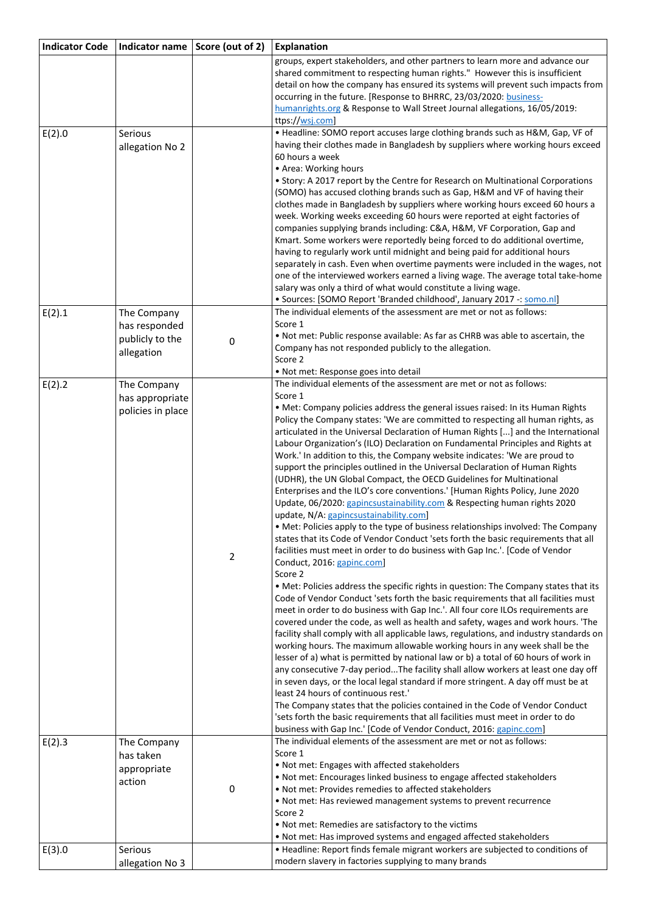| <b>Indicator Code</b> | Indicator name   Score (out of 2)                             |                | Explanation                                                                                                                                                                                                                                                                                                                                                                                                                                                                                                                                                                                                                                                                                                                                                                                                                                                                                                                                                                                                                                                                                                                                                                                                                                                                                                                                                                                                                                                                                                                                                                                                                                                                                                                                                                                                                                                                                                                                                                                                                                                                                                                                                                                                                                                    |
|-----------------------|---------------------------------------------------------------|----------------|----------------------------------------------------------------------------------------------------------------------------------------------------------------------------------------------------------------------------------------------------------------------------------------------------------------------------------------------------------------------------------------------------------------------------------------------------------------------------------------------------------------------------------------------------------------------------------------------------------------------------------------------------------------------------------------------------------------------------------------------------------------------------------------------------------------------------------------------------------------------------------------------------------------------------------------------------------------------------------------------------------------------------------------------------------------------------------------------------------------------------------------------------------------------------------------------------------------------------------------------------------------------------------------------------------------------------------------------------------------------------------------------------------------------------------------------------------------------------------------------------------------------------------------------------------------------------------------------------------------------------------------------------------------------------------------------------------------------------------------------------------------------------------------------------------------------------------------------------------------------------------------------------------------------------------------------------------------------------------------------------------------------------------------------------------------------------------------------------------------------------------------------------------------------------------------------------------------------------------------------------------------|
|                       |                                                               |                | groups, expert stakeholders, and other partners to learn more and advance our<br>shared commitment to respecting human rights." However this is insufficient<br>detail on how the company has ensured its systems will prevent such impacts from<br>occurring in the future. [Response to BHRRC, 23/03/2020: business-<br>humanrights.org & Response to Wall Street Journal allegations, 16/05/2019:                                                                                                                                                                                                                                                                                                                                                                                                                                                                                                                                                                                                                                                                                                                                                                                                                                                                                                                                                                                                                                                                                                                                                                                                                                                                                                                                                                                                                                                                                                                                                                                                                                                                                                                                                                                                                                                           |
|                       |                                                               |                | ttps://wsj.com                                                                                                                                                                                                                                                                                                                                                                                                                                                                                                                                                                                                                                                                                                                                                                                                                                                                                                                                                                                                                                                                                                                                                                                                                                                                                                                                                                                                                                                                                                                                                                                                                                                                                                                                                                                                                                                                                                                                                                                                                                                                                                                                                                                                                                                 |
| E(2).0                | Serious<br>allegation No 2                                    |                | • Headline: SOMO report accuses large clothing brands such as H&M, Gap, VF of<br>having their clothes made in Bangladesh by suppliers where working hours exceed<br>60 hours a week<br>• Area: Working hours                                                                                                                                                                                                                                                                                                                                                                                                                                                                                                                                                                                                                                                                                                                                                                                                                                                                                                                                                                                                                                                                                                                                                                                                                                                                                                                                                                                                                                                                                                                                                                                                                                                                                                                                                                                                                                                                                                                                                                                                                                                   |
|                       |                                                               |                | • Story: A 2017 report by the Centre for Research on Multinational Corporations<br>(SOMO) has accused clothing brands such as Gap, H&M and VF of having their<br>clothes made in Bangladesh by suppliers where working hours exceed 60 hours a<br>week. Working weeks exceeding 60 hours were reported at eight factories of<br>companies supplying brands including: C&A, H&M, VF Corporation, Gap and<br>Kmart. Some workers were reportedly being forced to do additional overtime,<br>having to regularly work until midnight and being paid for additional hours<br>separately in cash. Even when overtime payments were included in the wages, not<br>one of the interviewed workers earned a living wage. The average total take-home<br>salary was only a third of what would constitute a living wage.<br>• Sources: [SOMO Report 'Branded childhood', January 2017 -: somo.nl]                                                                                                                                                                                                                                                                                                                                                                                                                                                                                                                                                                                                                                                                                                                                                                                                                                                                                                                                                                                                                                                                                                                                                                                                                                                                                                                                                                       |
| E(2).1                | The Company<br>has responded<br>publicly to the<br>allegation | 0              | The individual elements of the assessment are met or not as follows:<br>Score 1<br>. Not met: Public response available: As far as CHRB was able to ascertain, the<br>Company has not responded publicly to the allegation.<br>Score 2<br>· Not met: Response goes into detail                                                                                                                                                                                                                                                                                                                                                                                                                                                                                                                                                                                                                                                                                                                                                                                                                                                                                                                                                                                                                                                                                                                                                                                                                                                                                                                                                                                                                                                                                                                                                                                                                                                                                                                                                                                                                                                                                                                                                                                 |
| E(2).2                | The Company<br>has appropriate<br>policies in place           | $\overline{2}$ | The individual elements of the assessment are met or not as follows:<br>Score 1<br>. Met: Company policies address the general issues raised: In its Human Rights<br>Policy the Company states: 'We are committed to respecting all human rights, as<br>articulated in the Universal Declaration of Human Rights [] and the International<br>Labour Organization's (ILO) Declaration on Fundamental Principles and Rights at<br>Work.' In addition to this, the Company website indicates: 'We are proud to<br>support the principles outlined in the Universal Declaration of Human Rights<br>(UDHR), the UN Global Compact, the OECD Guidelines for Multinational<br>Enterprises and the ILO's core conventions.' [Human Rights Policy, June 2020<br>Update, 06/2020: gapincsustainability.com & Respecting human rights 2020<br>update, N/A: gapincsustainability.com]<br>• Met: Policies apply to the type of business relationships involved: The Company<br>states that its Code of Vendor Conduct 'sets forth the basic requirements that all<br>facilities must meet in order to do business with Gap Inc.'. [Code of Vendor<br>Conduct, 2016: gapinc.com]<br>Score 2<br>. Met: Policies address the specific rights in question: The Company states that its<br>Code of Vendor Conduct 'sets forth the basic requirements that all facilities must<br>meet in order to do business with Gap Inc.'. All four core ILOs requirements are<br>covered under the code, as well as health and safety, wages and work hours. 'The<br>facility shall comply with all applicable laws, regulations, and industry standards on<br>working hours. The maximum allowable working hours in any week shall be the<br>lesser of a) what is permitted by national law or b) a total of 60 hours of work in<br>any consecutive 7-day periodThe facility shall allow workers at least one day off<br>in seven days, or the local legal standard if more stringent. A day off must be at<br>least 24 hours of continuous rest.'<br>The Company states that the policies contained in the Code of Vendor Conduct<br>'sets forth the basic requirements that all facilities must meet in order to do<br>business with Gap Inc.' [Code of Vendor Conduct, 2016: gapinc.com] |
| E(2).3                | The Company<br>has taken<br>appropriate<br>action             | $\pmb{0}$      | The individual elements of the assessment are met or not as follows:<br>Score 1<br>. Not met: Engages with affected stakeholders<br>. Not met: Encourages linked business to engage affected stakeholders<br>. Not met: Provides remedies to affected stakeholders<br>. Not met: Has reviewed management systems to prevent recurrence<br>Score 2<br>. Not met: Remedies are satisfactory to the victims<br>. Not met: Has improved systems and engaged affected stakeholders                                                                                                                                                                                                                                                                                                                                                                                                                                                                                                                                                                                                                                                                                                                                                                                                                                                                                                                                                                                                                                                                                                                                                                                                                                                                                                                                                                                                                                                                                                                                                                                                                                                                                                                                                                                  |
| E(3).0                | Serious<br>allegation No 3                                    |                | • Headline: Report finds female migrant workers are subjected to conditions of<br>modern slavery in factories supplying to many brands                                                                                                                                                                                                                                                                                                                                                                                                                                                                                                                                                                                                                                                                                                                                                                                                                                                                                                                                                                                                                                                                                                                                                                                                                                                                                                                                                                                                                                                                                                                                                                                                                                                                                                                                                                                                                                                                                                                                                                                                                                                                                                                         |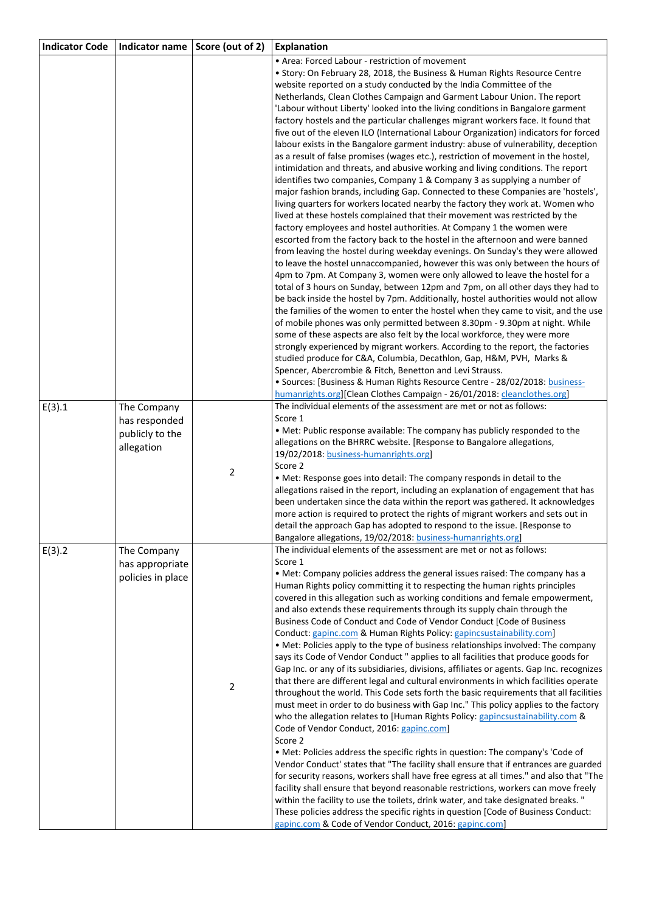| <b>Indicator Code</b> | Indicator name    | Score (out of 2) | <b>Explanation</b>                                                                                                                                                           |
|-----------------------|-------------------|------------------|------------------------------------------------------------------------------------------------------------------------------------------------------------------------------|
|                       |                   |                  | • Area: Forced Labour - restriction of movement                                                                                                                              |
|                       |                   |                  | • Story: On February 28, 2018, the Business & Human Rights Resource Centre                                                                                                   |
|                       |                   |                  | website reported on a study conducted by the India Committee of the                                                                                                          |
|                       |                   |                  | Netherlands, Clean Clothes Campaign and Garment Labour Union. The report                                                                                                     |
|                       |                   |                  | 'Labour without Liberty' looked into the living conditions in Bangalore garment<br>factory hostels and the particular challenges migrant workers face. It found that         |
|                       |                   |                  | five out of the eleven ILO (International Labour Organization) indicators for forced                                                                                         |
|                       |                   |                  | labour exists in the Bangalore garment industry: abuse of vulnerability, deception                                                                                           |
|                       |                   |                  | as a result of false promises (wages etc.), restriction of movement in the hostel,                                                                                           |
|                       |                   |                  | intimidation and threats, and abusive working and living conditions. The report                                                                                              |
|                       |                   |                  | identifies two companies, Company 1 & Company 3 as supplying a number of                                                                                                     |
|                       |                   |                  | major fashion brands, including Gap. Connected to these Companies are 'hostels',                                                                                             |
|                       |                   |                  | living quarters for workers located nearby the factory they work at. Women who                                                                                               |
|                       |                   |                  | lived at these hostels complained that their movement was restricted by the                                                                                                  |
|                       |                   |                  | factory employees and hostel authorities. At Company 1 the women were<br>escorted from the factory back to the hostel in the afternoon and were banned                       |
|                       |                   |                  | from leaving the hostel during weekday evenings. On Sunday's they were allowed                                                                                               |
|                       |                   |                  | to leave the hostel unnaccompanied, however this was only between the hours of                                                                                               |
|                       |                   |                  | 4pm to 7pm. At Company 3, women were only allowed to leave the hostel for a                                                                                                  |
|                       |                   |                  | total of 3 hours on Sunday, between 12pm and 7pm, on all other days they had to                                                                                              |
|                       |                   |                  | be back inside the hostel by 7pm. Additionally, hostel authorities would not allow                                                                                           |
|                       |                   |                  | the families of the women to enter the hostel when they came to visit, and the use                                                                                           |
|                       |                   |                  | of mobile phones was only permitted between 8.30pm - 9.30pm at night. While                                                                                                  |
|                       |                   |                  | some of these aspects are also felt by the local workforce, they were more<br>strongly experienced by migrant workers. According to the report, the factories                |
|                       |                   |                  | studied produce for C&A, Columbia, Decathlon, Gap, H&M, PVH, Marks &                                                                                                         |
|                       |                   |                  | Spencer, Abercrombie & Fitch, Benetton and Levi Strauss.                                                                                                                     |
|                       |                   |                  | · Sources: [Business & Human Rights Resource Centre - 28/02/2018: business-                                                                                                  |
|                       |                   |                  | humanrights.org][Clean Clothes Campaign - 26/01/2018: cleanclothes.org]                                                                                                      |
| E(3).1                | The Company       |                  | The individual elements of the assessment are met or not as follows:                                                                                                         |
|                       | has responded     |                  | Score 1<br>. Met: Public response available: The company has publicly responded to the                                                                                       |
|                       | publicly to the   |                  | allegations on the BHRRC website. [Response to Bangalore allegations,                                                                                                        |
|                       | allegation        |                  | 19/02/2018: business-humanrights.org]                                                                                                                                        |
|                       |                   |                  | Score 2                                                                                                                                                                      |
|                       |                   | $\overline{2}$   | . Met: Response goes into detail: The company responds in detail to the                                                                                                      |
|                       |                   |                  | allegations raised in the report, including an explanation of engagement that has                                                                                            |
|                       |                   |                  | been undertaken since the data within the report was gathered. It acknowledges                                                                                               |
|                       |                   |                  | more action is required to protect the rights of migrant workers and sets out in<br>detail the approach Gap has adopted to respond to the issue. [Response to                |
|                       |                   |                  | Bangalore allegations, 19/02/2018: business-humanrights.org]                                                                                                                 |
| E(3).2                | The Company       |                  | The individual elements of the assessment are met or not as follows:                                                                                                         |
|                       | has appropriate   |                  | Score 1                                                                                                                                                                      |
|                       | policies in place |                  | • Met: Company policies address the general issues raised: The company has a                                                                                                 |
|                       |                   |                  | Human Rights policy committing it to respecting the human rights principles                                                                                                  |
|                       |                   |                  | covered in this allegation such as working conditions and female empowerment,<br>and also extends these requirements through its supply chain through the                    |
|                       |                   |                  | Business Code of Conduct and Code of Vendor Conduct [Code of Business                                                                                                        |
|                       |                   |                  | Conduct: gapinc.com & Human Rights Policy: gapincsustainability.com]                                                                                                         |
|                       |                   |                  | • Met: Policies apply to the type of business relationships involved: The company                                                                                            |
|                       |                   |                  | says its Code of Vendor Conduct " applies to all facilities that produce goods for                                                                                           |
|                       |                   |                  | Gap Inc. or any of its subsidiaries, divisions, affiliates or agents. Gap Inc. recognizes                                                                                    |
|                       |                   | $\overline{2}$   | that there are different legal and cultural environments in which facilities operate                                                                                         |
|                       |                   |                  | throughout the world. This Code sets forth the basic requirements that all facilities<br>must meet in order to do business with Gap Inc." This policy applies to the factory |
|                       |                   |                  | who the allegation relates to [Human Rights Policy: gapincsustainability.com &                                                                                               |
|                       |                   |                  | Code of Vendor Conduct, 2016: gapinc.com]                                                                                                                                    |
|                       |                   |                  | Score 2                                                                                                                                                                      |
|                       |                   |                  | . Met: Policies address the specific rights in question: The company's 'Code of                                                                                              |
|                       |                   |                  | Vendor Conduct' states that "The facility shall ensure that if entrances are guarded                                                                                         |
|                       |                   |                  | for security reasons, workers shall have free egress at all times." and also that "The                                                                                       |
|                       |                   |                  | facility shall ensure that beyond reasonable restrictions, workers can move freely<br>within the facility to use the toilets, drink water, and take designated breaks."      |
|                       |                   |                  | These policies address the specific rights in question [Code of Business Conduct:                                                                                            |
|                       |                   |                  | gapinc.com & Code of Vendor Conduct, 2016: gapinc.com]                                                                                                                       |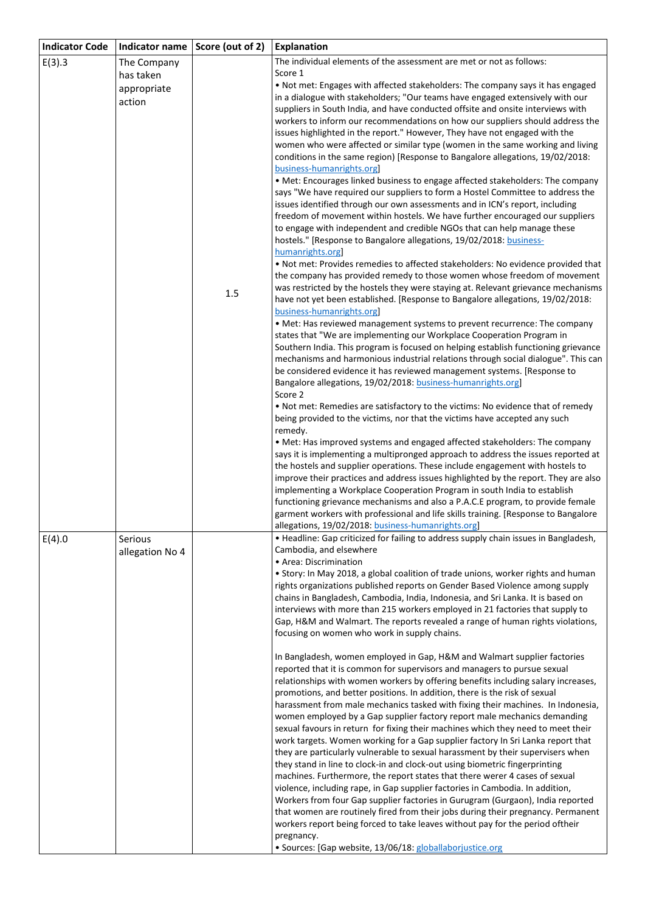| <b>Indicator Code</b> | Indicator name  | Score (out of 2) | <b>Explanation</b>                                                                                                                                                |
|-----------------------|-----------------|------------------|-------------------------------------------------------------------------------------------------------------------------------------------------------------------|
| E(3).3                | The Company     |                  | The individual elements of the assessment are met or not as follows:                                                                                              |
|                       | has taken       |                  | Score 1                                                                                                                                                           |
|                       | appropriate     |                  | . Not met: Engages with affected stakeholders: The company says it has engaged                                                                                    |
|                       | action          |                  | in a dialogue with stakeholders; "Our teams have engaged extensively with our                                                                                     |
|                       |                 |                  | suppliers in South India, and have conducted offsite and onsite interviews with<br>workers to inform our recommendations on how our suppliers should address the  |
|                       |                 |                  | issues highlighted in the report." However, They have not engaged with the                                                                                        |
|                       |                 |                  | women who were affected or similar type (women in the same working and living                                                                                     |
|                       |                 |                  | conditions in the same region) [Response to Bangalore allegations, 19/02/2018:                                                                                    |
|                       |                 |                  | business-humanrights.org                                                                                                                                          |
|                       |                 |                  | • Met: Encourages linked business to engage affected stakeholders: The company                                                                                    |
|                       |                 |                  | says "We have required our suppliers to form a Hostel Committee to address the                                                                                    |
|                       |                 |                  | issues identified through our own assessments and in ICN's report, including                                                                                      |
|                       |                 |                  | freedom of movement within hostels. We have further encouraged our suppliers<br>to engage with independent and credible NGOs that can help manage these           |
|                       |                 |                  | hostels." [Response to Bangalore allegations, 19/02/2018: business-                                                                                               |
|                       |                 |                  | humanrights.org                                                                                                                                                   |
|                       |                 |                  | . Not met: Provides remedies to affected stakeholders: No evidence provided that                                                                                  |
|                       |                 |                  | the company has provided remedy to those women whose freedom of movement                                                                                          |
|                       |                 | 1.5              | was restricted by the hostels they were staying at. Relevant grievance mechanisms                                                                                 |
|                       |                 |                  | have not yet been established. [Response to Bangalore allegations, 19/02/2018:                                                                                    |
|                       |                 |                  | business-humanrights.org<br>• Met: Has reviewed management systems to prevent recurrence: The company                                                             |
|                       |                 |                  | states that "We are implementing our Workplace Cooperation Program in                                                                                             |
|                       |                 |                  | Southern India. This program is focused on helping establish functioning grievance                                                                                |
|                       |                 |                  | mechanisms and harmonious industrial relations through social dialogue". This can                                                                                 |
|                       |                 |                  | be considered evidence it has reviewed management systems. [Response to                                                                                           |
|                       |                 |                  | Bangalore allegations, 19/02/2018: business-humanrights.org]                                                                                                      |
|                       |                 |                  | Score 2                                                                                                                                                           |
|                       |                 |                  | . Not met: Remedies are satisfactory to the victims: No evidence that of remedy<br>being provided to the victims, nor that the victims have accepted any such     |
|                       |                 |                  | remedy.                                                                                                                                                           |
|                       |                 |                  | • Met: Has improved systems and engaged affected stakeholders: The company                                                                                        |
|                       |                 |                  | says it is implementing a multipronged approach to address the issues reported at                                                                                 |
|                       |                 |                  | the hostels and supplier operations. These include engagement with hostels to                                                                                     |
|                       |                 |                  | improve their practices and address issues highlighted by the report. They are also                                                                               |
|                       |                 |                  | implementing a Workplace Cooperation Program in south India to establish<br>functioning grievance mechanisms and also a P.A.C.E program, to provide female        |
|                       |                 |                  | garment workers with professional and life skills training. [Response to Bangalore                                                                                |
|                       |                 |                  | allegations, 19/02/2018: business-humanrights.org                                                                                                                 |
| E(4).0                | Serious         |                  | • Headline: Gap criticized for failing to address supply chain issues in Bangladesh,                                                                              |
|                       | allegation No 4 |                  | Cambodia, and elsewhere                                                                                                                                           |
|                       |                 |                  | • Area: Discrimination                                                                                                                                            |
|                       |                 |                  | • Story: In May 2018, a global coalition of trade unions, worker rights and human<br>rights organizations published reports on Gender Based Violence among supply |
|                       |                 |                  | chains in Bangladesh, Cambodia, India, Indonesia, and Sri Lanka. It is based on                                                                                   |
|                       |                 |                  | interviews with more than 215 workers employed in 21 factories that supply to                                                                                     |
|                       |                 |                  | Gap, H&M and Walmart. The reports revealed a range of human rights violations,                                                                                    |
|                       |                 |                  | focusing on women who work in supply chains.                                                                                                                      |
|                       |                 |                  |                                                                                                                                                                   |
|                       |                 |                  | In Bangladesh, women employed in Gap, H&M and Walmart supplier factories                                                                                          |
|                       |                 |                  | reported that it is common for supervisors and managers to pursue sexual<br>relationships with women workers by offering benefits including salary increases,     |
|                       |                 |                  | promotions, and better positions. In addition, there is the risk of sexual                                                                                        |
|                       |                 |                  | harassment from male mechanics tasked with fixing their machines. In Indonesia,                                                                                   |
|                       |                 |                  | women employed by a Gap supplier factory report male mechanics demanding                                                                                          |
|                       |                 |                  | sexual favours in return for fixing their machines which they need to meet their                                                                                  |
|                       |                 |                  | work targets. Women working for a Gap supplier factory In Sri Lanka report that                                                                                   |
|                       |                 |                  | they are particularly vulnerable to sexual harassment by their supervisers when                                                                                   |
|                       |                 |                  | they stand in line to clock-in and clock-out using biometric fingerprinting<br>machines. Furthermore, the report states that there werer 4 cases of sexual        |
|                       |                 |                  | violence, including rape, in Gap supplier factories in Cambodia. In addition,                                                                                     |
|                       |                 |                  | Workers from four Gap supplier factories in Gurugram (Gurgaon), India reported                                                                                    |
|                       |                 |                  | that women are routinely fired from their jobs during their pregnancy. Permanent                                                                                  |
|                       |                 |                  | workers report being forced to take leaves without pay for the period oftheir                                                                                     |
|                       |                 |                  | pregnancy.                                                                                                                                                        |
|                       |                 |                  | · Sources: [Gap website, 13/06/18: globallaborjustice.org                                                                                                         |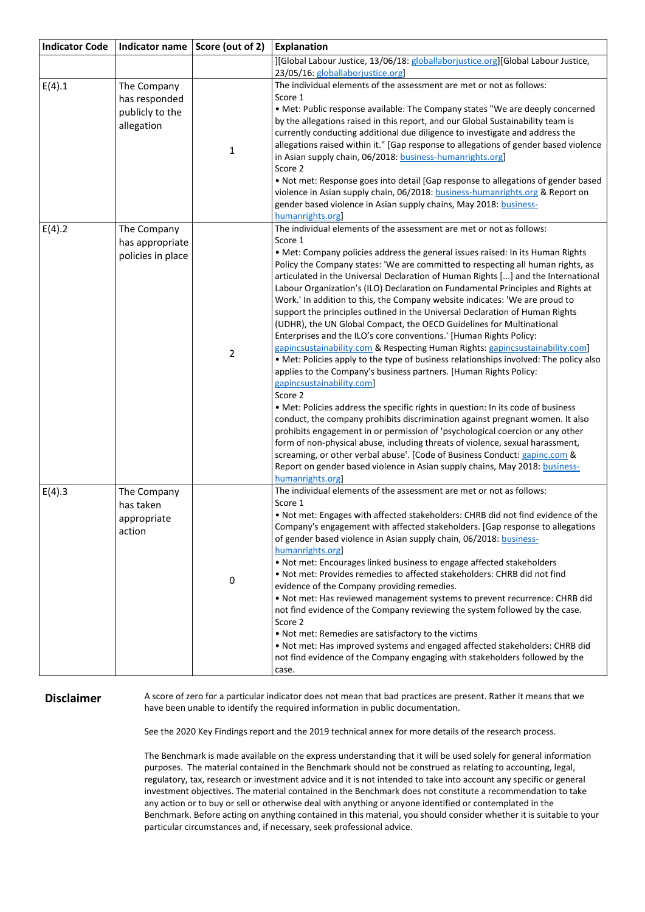| <b>Indicator Code</b> |                                    | Indicator name Score (out of 2) | <b>Explanation</b>                                                                                                                                                 |
|-----------------------|------------------------------------|---------------------------------|--------------------------------------------------------------------------------------------------------------------------------------------------------------------|
|                       |                                    |                                 | ][Global Labour Justice, 13/06/18: globallaborjustice.org][Global Labour Justice,                                                                                  |
|                       |                                    |                                 | 23/05/16: globallaborjustice.org                                                                                                                                   |
| E(4).1                | The Company                        |                                 | The individual elements of the assessment are met or not as follows:                                                                                               |
|                       | has responded                      |                                 | Score 1                                                                                                                                                            |
|                       | publicly to the                    |                                 | • Met: Public response available: The Company states "We are deeply concerned                                                                                      |
|                       | allegation                         |                                 | by the allegations raised in this report, and our Global Sustainability team is                                                                                    |
|                       |                                    |                                 | currently conducting additional due diligence to investigate and address the                                                                                       |
|                       |                                    | $\mathbf 1$                     | allegations raised within it." [Gap response to allegations of gender based violence                                                                               |
|                       |                                    |                                 | in Asian supply chain, 06/2018: business-humanrights.org]                                                                                                          |
|                       |                                    |                                 | Score 2                                                                                                                                                            |
|                       |                                    |                                 | . Not met: Response goes into detail [Gap response to allegations of gender based<br>violence in Asian supply chain, 06/2018: business-humanrights.org & Report on |
|                       |                                    |                                 | gender based violence in Asian supply chains, May 2018: business-                                                                                                  |
|                       |                                    |                                 | humanrights.org                                                                                                                                                    |
| E(4).2                | The Company                        |                                 | The individual elements of the assessment are met or not as follows:                                                                                               |
|                       | has appropriate                    |                                 | Score 1                                                                                                                                                            |
|                       | policies in place                  |                                 | . Met: Company policies address the general issues raised: In its Human Rights                                                                                     |
|                       |                                    |                                 | Policy the Company states: 'We are committed to respecting all human rights, as                                                                                    |
|                       |                                    |                                 | articulated in the Universal Declaration of Human Rights [] and the International                                                                                  |
|                       |                                    |                                 | Labour Organization's (ILO) Declaration on Fundamental Principles and Rights at                                                                                    |
|                       |                                    |                                 | Work.' In addition to this, the Company website indicates: 'We are proud to                                                                                        |
|                       |                                    |                                 | support the principles outlined in the Universal Declaration of Human Rights                                                                                       |
|                       |                                    |                                 | (UDHR), the UN Global Compact, the OECD Guidelines for Multinational                                                                                               |
|                       |                                    |                                 | Enterprises and the ILO's core conventions.' [Human Rights Policy:                                                                                                 |
|                       |                                    | $\overline{2}$                  | gapincsustainability.com & Respecting Human Rights: gapincsustainability.com]                                                                                      |
|                       |                                    |                                 | . Met: Policies apply to the type of business relationships involved: The policy also                                                                              |
|                       |                                    |                                 | applies to the Company's business partners. [Human Rights Policy:                                                                                                  |
|                       |                                    |                                 | gapincsustainability.com]                                                                                                                                          |
|                       |                                    |                                 | Score 2                                                                                                                                                            |
|                       |                                    |                                 | • Met: Policies address the specific rights in question: In its code of business                                                                                   |
|                       |                                    |                                 | conduct, the company prohibits discrimination against pregnant women. It also<br>prohibits engagement in or permission of 'psychological coercion or any other     |
|                       |                                    |                                 | form of non-physical abuse, including threats of violence, sexual harassment,                                                                                      |
|                       |                                    |                                 | screaming, or other verbal abuse'. [Code of Business Conduct: gapinc.com &                                                                                         |
|                       |                                    |                                 | Report on gender based violence in Asian supply chains, May 2018: business-                                                                                        |
|                       |                                    |                                 | humanrights.org                                                                                                                                                    |
| E(4).3                | The Company                        |                                 | The individual elements of the assessment are met or not as follows:                                                                                               |
|                       | has taken<br>appropriate<br>action | 0                               | Score 1                                                                                                                                                            |
|                       |                                    |                                 | . Not met: Engages with affected stakeholders: CHRB did not find evidence of the                                                                                   |
|                       |                                    |                                 | Company's engagement with affected stakeholders. [Gap response to allegations                                                                                      |
|                       |                                    |                                 | of gender based violence in Asian supply chain, 06/2018: business-                                                                                                 |
|                       |                                    |                                 | humanrights.org                                                                                                                                                    |
|                       |                                    |                                 | . Not met: Encourages linked business to engage affected stakeholders                                                                                              |
|                       |                                    |                                 | . Not met: Provides remedies to affected stakeholders: CHRB did not find                                                                                           |
|                       |                                    |                                 | evidence of the Company providing remedies.                                                                                                                        |
|                       |                                    |                                 | . Not met: Has reviewed management systems to prevent recurrence: CHRB did                                                                                         |
|                       |                                    |                                 | not find evidence of the Company reviewing the system followed by the case.                                                                                        |
|                       |                                    |                                 | Score 2                                                                                                                                                            |
|                       |                                    |                                 | . Not met: Remedies are satisfactory to the victims                                                                                                                |
|                       |                                    |                                 | . Not met: Has improved systems and engaged affected stakeholders: CHRB did                                                                                        |
|                       |                                    |                                 | not find evidence of the Company engaging with stakeholders followed by the                                                                                        |
|                       |                                    |                                 | case.                                                                                                                                                              |

**Disclaimer** A score of zero for a particular indicator does not mean that bad practices are present. Rather it means that we have been unable to identify the required information in public documentation.

See the 2020 Key Findings report and the 2019 technical annex for more details of the research process.

The Benchmark is made available on the express understanding that it will be used solely for general information purposes. The material contained in the Benchmark should not be construed as relating to accounting, legal, regulatory, tax, research or investment advice and it is not intended to take into account any specific or general investment objectives. The material contained in the Benchmark does not constitute a recommendation to take any action or to buy or sell or otherwise deal with anything or anyone identified or contemplated in the Benchmark. Before acting on anything contained in this material, you should consider whether it is suitable to your particular circumstances and, if necessary, seek professional advice.